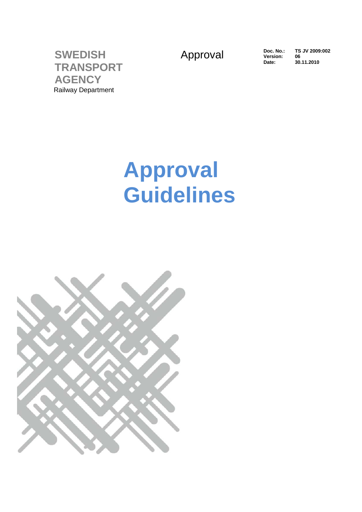Approval Doc. No.:

**Version: Date:**

**TS JV 2009:002 06 30.11.2010**

**SWEDISH TRANSPORT AGENCY** Railway Department

# **Approval Guidelines**

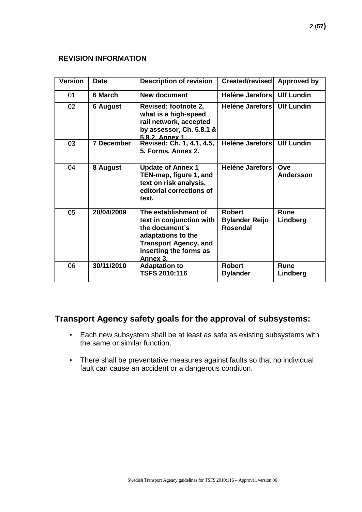#### **REVISION INFORMATION**

| <b>Version</b>  | <b>Date</b>     | <b>Description of revision</b>                                                                                                                                 | Created/revised                                           | Approved by       |
|-----------------|-----------------|----------------------------------------------------------------------------------------------------------------------------------------------------------------|-----------------------------------------------------------|-------------------|
| 01              | 6 March         | <b>New document</b>                                                                                                                                            | Heléne Jarefors                                           | <b>Ulf Lundin</b> |
| 02 <sub>2</sub> | <b>6 August</b> | Revised: footnote 2,<br>what is a high-speed<br>rail network, accepted<br>by assessor, Ch. 5.8.1 &<br>5.8.2. Annex 1                                           | <b>Heléne Jarefors</b>                                    | <b>Ulf Lundin</b> |
| 03              | 7 December      | Revised: Ch. 1, 4.1, 4.5,<br>5. Forms. Annex 2.                                                                                                                | Heléne Jarefors                                           | <b>Ulf Lundin</b> |
| 04              | 8 August        | <b>Update of Annex 1</b><br>TEN-map, figure 1, and<br>text on risk analysis,<br>editorial corrections of<br>text.                                              | <b>Heléne Jarefors</b>                                    | Ove<br>Andersson  |
| 05              | 28/04/2009      | The establishment of<br>text in conjunction with<br>the document's<br>adaptations to the<br><b>Transport Agency, and</b><br>inserting the forms as<br>Annex 3. | <b>Robert</b><br><b>Bylander Reijo</b><br><b>Rosendal</b> | Rune<br>Lindberg  |
| 06              | 30/11/2010      | <b>Adaptation to</b><br><b>TSFS 2010:116</b>                                                                                                                   | <b>Robert</b><br><b>Bylander</b>                          | Rune<br>Lindberg  |

### **Transport Agency safety goals for the approval of subsystems:**

- Each new subsystem shall be at least as safe as existing subsystems with the same or similar function.
- There shall be preventative measures against faults so that no individual fault can cause an accident or a dangerous condition.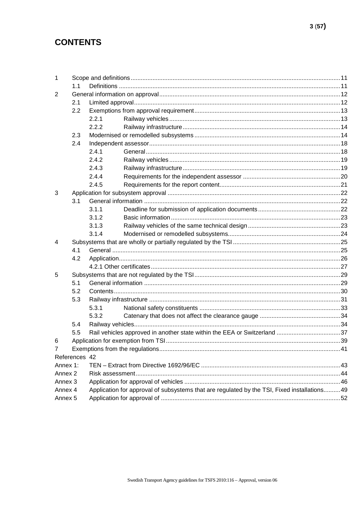### **CONTENTS**

| 1                  |               |                                                                                              |  |  |
|--------------------|---------------|----------------------------------------------------------------------------------------------|--|--|
|                    | 1.1           |                                                                                              |  |  |
| 2                  |               |                                                                                              |  |  |
|                    | 2.1           |                                                                                              |  |  |
|                    | 2.2           |                                                                                              |  |  |
|                    |               | 2.2.1                                                                                        |  |  |
|                    |               | 2.2.2                                                                                        |  |  |
|                    | 2.3           |                                                                                              |  |  |
|                    | 2.4           |                                                                                              |  |  |
|                    |               | 2.4.1                                                                                        |  |  |
|                    |               | 2.4.2                                                                                        |  |  |
|                    |               | 2.4.3                                                                                        |  |  |
|                    |               | 2.4.4                                                                                        |  |  |
|                    |               | 2.4.5                                                                                        |  |  |
| 3                  |               |                                                                                              |  |  |
|                    | 3.1           |                                                                                              |  |  |
|                    |               | 3.1.1                                                                                        |  |  |
|                    |               | 3.1.2                                                                                        |  |  |
|                    |               | 3.1.3                                                                                        |  |  |
|                    |               | 3.1.4                                                                                        |  |  |
| 4                  |               |                                                                                              |  |  |
|                    | 4.1           |                                                                                              |  |  |
|                    | 4.2           |                                                                                              |  |  |
|                    |               |                                                                                              |  |  |
| 5                  |               |                                                                                              |  |  |
|                    | 5.1           |                                                                                              |  |  |
|                    | 5.2           |                                                                                              |  |  |
|                    | 5.3           |                                                                                              |  |  |
|                    |               | 5.3.1                                                                                        |  |  |
|                    |               | 5.3.2                                                                                        |  |  |
|                    | 5.4           |                                                                                              |  |  |
|                    | 5.5           | Rail vehicles approved in another state within the EEA or Switzerland 37                     |  |  |
| 6                  |               |                                                                                              |  |  |
| $\overline{7}$     |               |                                                                                              |  |  |
|                    | References 42 |                                                                                              |  |  |
| Annex 1:           |               |                                                                                              |  |  |
| Annex <sub>2</sub> |               |                                                                                              |  |  |
| Annex <sub>3</sub> |               |                                                                                              |  |  |
| Annex 4            |               | Application for approval of subsystems that are regulated by the TSI, Fixed installations 49 |  |  |
| Annex <sub>5</sub> |               |                                                                                              |  |  |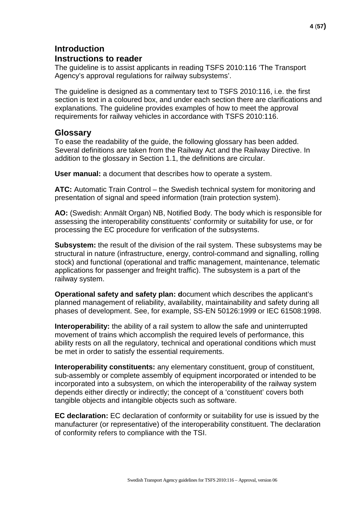### **Introduction Instructions to reader**

The guideline is to assist applicants in reading TSFS 2010:116 'The Transport Agency's approval regulations for railway subsystems'.

The guideline is designed as a commentary text to TSFS 2010:116, i.e. the first section is text in a coloured box, and under each section there are clarifications and explanations. The guideline provides examples of how to meet the approval requirements for railway vehicles in accordance with TSFS 2010:116.

#### **Glossary**

To ease the readability of the guide, the following glossary has been added. Several definitions are taken from the Railway Act and the Railway Directive. In addition to the glossary in Section 1.1, the definitions are circular.

**User manual:** a document that describes how to operate a system.

**ATC:** Automatic Train Control – the Swedish technical system for monitoring and presentation of signal and speed information (train protection system).

**AO:** (Swedish: Anmält Organ) NB, Notified Body. The body which is responsible for assessing the interoperability constituents' conformity or suitability for use, or for processing the EC procedure for verification of the subsystems.

**Subsystem:** the result of the division of the rail system. These subsystems may be structural in nature (infrastructure, energy, control-command and signalling, rolling stock) and functional (operational and traffic management, maintenance, telematic applications for passenger and freight traffic). The subsystem is a part of the railway system.

**Operational safety and safety plan: d**ocument which describes the applicant's planned management of reliability, availability, maintainability and safety during all phases of development. See, for example, SS-EN 50126:1999 or IEC 61508:1998.

**Interoperability:** the ability of a rail system to allow the safe and uninterrupted movement of trains which accomplish the required levels of performance, this ability rests on all the regulatory, technical and operational conditions which must be met in order to satisfy the essential requirements.

**Interoperability constituents:** any elementary constituent, group of constituent, sub-assembly or complete assembly of equipment incorporated or intended to be incorporated into a subsystem, on which the interoperability of the railway system depends either directly or indirectly; the concept of a 'constituent' covers both tangible objects and intangible objects such as software.

**EC declaration:** EC declaration of conformity or suitability for use is issued by the manufacturer (or representative) of the interoperability constituent. The declaration of conformity refers to compliance with the TSI.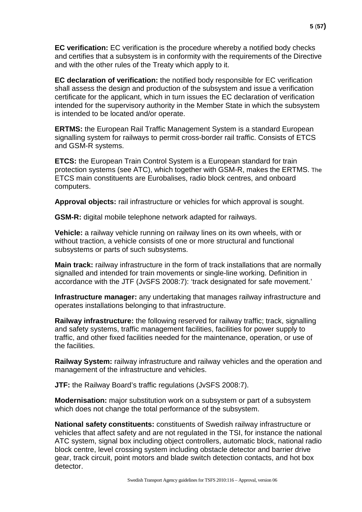**EC verification:** EC verification is the procedure whereby a notified body checks and certifies that a subsystem is in conformity with the requirements of the Directive and with the other rules of the Treaty which apply to it.

**EC declaration of verification:** the notified body responsible for EC verification shall assess the design and production of the subsystem and issue a verification certificate for the applicant, which in turn issues the EC declaration of verification intended for the supervisory authority in the Member State in which the subsystem is intended to be located and/or operate.

**ERTMS:** the European Rail Traffic Management System is a standard Europea[n](http://sv.wikipedia.org/wiki/S%C3%A4kerhetssystem) [signalling system f](http://sv.wikipedia.org/wiki/S%C3%A4kerhetssystem)or railways to permit cross-border rail traffic. Consists of ETCS and GSM-R systems.

**ETCS:** the European Train Control System is a European standard for train protection systems (see ATC), which together with [GSM-R, m](http://sv.wikipedia.org/wiki/GSM-R)akes the [ERTMS.](http://sv.wikipedia.org/wiki/ERTMS) The ETCS main constituents are [Eurobalises,](http://sv.wikipedia.org/wiki/Eurobalis) [radio block centres, a](http://sv.wikipedia.org/wiki/Eurobalis)nd onboard computers.

**Approval objects:** rail infrastructure or vehicles for which approval is sought.

**GSM-R:** digital mobile telephone network adapted for railways.

**Vehicle:** a railway vehicle running on railway lines on its own wheels, with or without traction, a vehicle consists of one or more structural and functional subsystems or parts of such subsystems.

**Main track:** railway infrastructure in the form of track installations that are normally signalled and intended for train movements or single-line working. Definition in accordance with the JTF (JvSFS 2008:7): 'track designated for safe movement.'

**Infrastructure manager:** any undertaking that manages railway infrastructure and operates installations belonging to that infrastructure.

**Railway infrastructure:** the following reserved for railway traffic; track, signalling and safety systems, traffic management facilities, facilities for power supply to traffic, and other fixed facilities needed for the maintenance, operation, or use of the facilities.

**Railway System:** railway infrastructure and railway vehicles and the operation and management of the infrastructure and vehicles.

**JTF:** the Railway Board's traffic regulations (JvSFS 2008:7).

**Modernisation:** major substitution work on a subsystem or part of a subsystem which does not change the total performance of the subsystem.

**National safety constituents:** constituents of Swedish railway infrastructure or vehicles that affect safety and are not regulated in the TSI, for instance the national ATC system, signal box including object controllers, automatic block, national radio block centre, level crossing system including obstacle detector and barrier drive gear, track circuit, point motors and blade switch detection contacts, and hot box detector.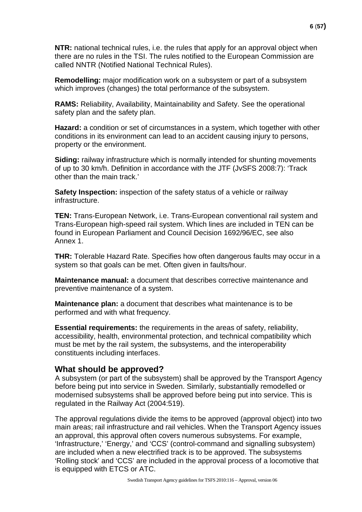**NTR:** national technical rules, i.e. the rules that apply for an approval object when there are no rules in the TSI. The rules notified to the European Commission are called NNTR (Notified National Technical Rules).

**Remodelling:** major modification work on a subsystem or part of a subsystem which improves (changes) the total performance of the subsystem.

**RAMS:** Reliability, Availability, Maintainability and Safety. See the operational safety plan and the safety plan.

**Hazard:** a condition or set of circumstances in a system, which together with other conditions in its environment can lead to an accident causing injury to persons, property or the environment.

**Siding:** railway infrastructure which is normally intended for shunting movements of up to 30 km/h. Definition in accordance with the JTF (JvSFS 2008:7): 'Track other than the main track.'

**Safety Inspection:** inspection of the safety status of a vehicle or railway infrastructure.

**TEN:** Trans-European Network, i.e. Trans-European conventional rail system and Trans-European high-speed rail system. Which lines are included in TEN can be found in European Parliament and Council Decision 1692/96/EC, see also Annex 1.

**THR:** Tolerable Hazard Rate. Specifies how often dangerous faults may occur in a system so that goals can be met. Often given in faults/hour.

**Maintenance manual:** a document that describes corrective maintenance and preventive maintenance of a system.

**Maintenance plan:** a document that describes what maintenance is to be performed and with what frequency.

**Essential requirements:** the requirements in the areas of safety, reliability, accessibility, health, environmental protection, and technical compatibility which must be met by the rail system, the subsystems, and the interoperability constituents including interfaces.

### **What should be approved?**

A subsystem (or part of the subsystem) shall be approved by the Transport Agency before being put into service in Sweden. Similarly, substantially remodelled or modernised subsystems shall be approved before being put into service. This is regulated in the Railway Act (2004:519).

The approval regulations divide the items to be approved (approval object) into two main areas; rail infrastructure and rail vehicles. When the Transport Agency issues an approval, this approval often covers numerous subsystems. For example, 'Infrastructure,' 'Energy,' and 'CCS' (control-command and signalling subsystem) are included when a new electrified track is to be approved. The subsystems 'Rolling stock' and 'CCS' are included in the approval process of a locomotive that is equipped with ETCS or ATC.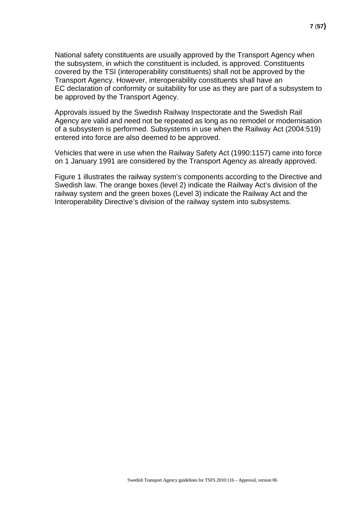National safety constituents are usually approved by the Transport Agency when the subsystem, in which the constituent is included, is approved. Constituents covered by the TSI (interoperability constituents) shall not be approved by the Transport Agency. However, interoperability constituents shall have an EC declaration of conformity or suitability for use as they are part of a subsystem to be approved by the Transport Agency.

Approvals issued by the Swedish Railway Inspectorate and the Swedish Rail Agency are valid and need not be repeated as long as no remodel or modernisation of a subsystem is performed. Subsystems in use when the Railway Act (2004:519) entered into force are also deemed to be approved.

Vehicles that were in use when the Railway Safety Act (1990:1157) came into force on 1 January 1991 are considered by the Transport Agency as already approved.

Figure 1 illustrates the railway system's components according to the Directive and Swedish law. The orange boxes (level 2) indicate the Railway Act's division of the railway system and the green boxes (Level 3) indicate the Railway Act and the Interoperability Directive's division of the railway system into subsystems.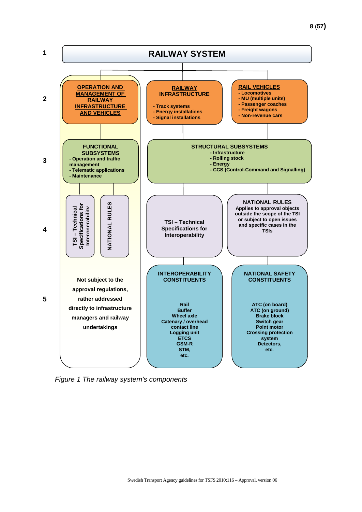

*Figure 1 The railway system's components*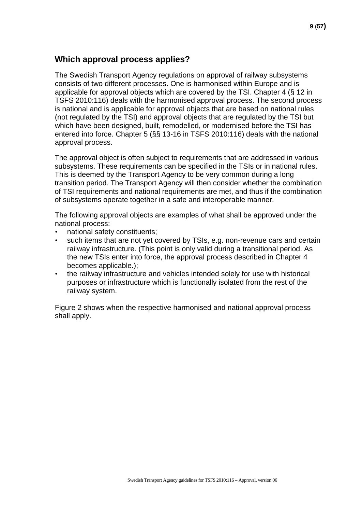### **Which approval process applies?**

The Swedish Transport Agency regulations on approval of railway subsystems consists of two different processes. One is harmonised within Europe and is applicable for approval objects which are covered by the TSI. Chapter 4 (§ 12 in TSFS 2010:116) deals with the harmonised approval process. The second process is national and is applicable for approval objects that are based on national rules (not regulated by the TSI) and approval objects that are regulated by the TSI but which have been designed, built, remodelled, or modernised before the TSI has entered into force. Chapter 5 (§§ 13-16 in TSFS 2010:116) deals with the national approval process.

The approval object is often subject to requirements that are addressed in various subsystems. These requirements can be specified in the TSIs or in national rules. This is deemed by the Transport Agency to be very common during a long transition period. The Transport Agency will then consider whether the combination of TSI requirements and national requirements are met, and thus if the combination of subsystems operate together in a safe and interoperable manner.

The following approval objects are examples of what shall be approved under the national process:

- national safety constituents;
- such items that are not yet covered by TSIs, e.g. non-revenue cars and certain railway infrastructure. (This point is only valid during a transitional period. As the new TSIs enter into force, the approval process described in Chapter 4 becomes applicable.);
- the railway infrastructure and vehicles intended solely for use with historical purposes or infrastructure which is functionally isolated from the rest of the railway system.

Figure 2 shows when the respective harmonised and national approval process shall apply.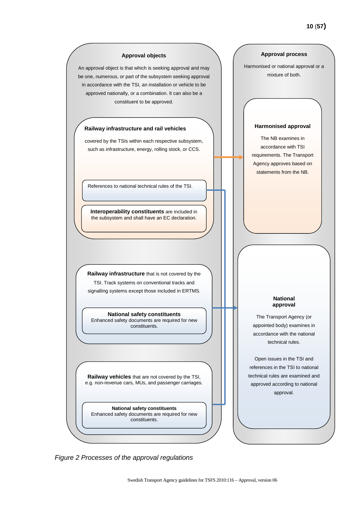

*Figure 2 Processes of the approval regulations*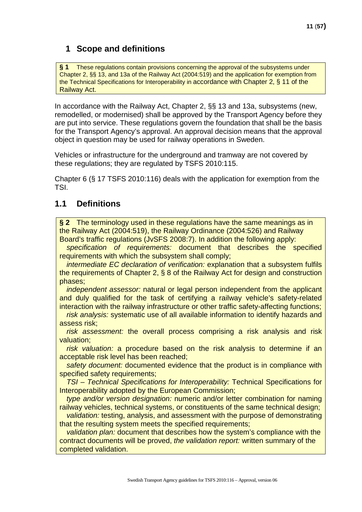### <span id="page-10-0"></span>**1 Scope and definitions**

**§ 1** These regulations contain provisions concerning the approval of the subsystems under Chapter 2, §§ 13, and 13a of the Railway Act (2004:519) and the application for exemption from the Technical Specifications for Interoperability in accordance with Chapter 2, § 11 of the Railway Act.

In accordance with the Railway Act, Chapter 2, §§ 13 and 13a, subsystems (new, remodelled, or modernised) shall be approved by the Transport Agency before they are put into service. These regulations govern the foundation that shall be the basis for the Transport Agency's approval. An approval decision means that the approval object in question may be used for railway operations in Sweden.

Vehicles or infrastructure for the underground and tramway are not covered by these regulations; they are regulated by TSFS 2010:115.

Chapter 6 (§ 17 TSFS 2010:116) deals with the application for exemption from the TSI.

### <span id="page-10-1"></span>**1.1 Definitions**

**§ 2** The terminology used in these regulations have the same meanings as in the Railway Act (2004:519), the Railway Ordinance (2004:526) and Railway Board's traffic regulations (JvSFS 2008:7). In addition the following apply:

*specification of requirements:* document that describes the specified requirements with which the subsystem shall comply;

*intermediate EC declaration of verification:* explanation that a subsystem fulfils the requirements of Chapter 2, § 8 of the Railway Act for design and construction phases;

*independent assessor:* natural or legal person independent from the applicant and duly qualified for the task of certifying a railway vehicle's safety-related interaction with the railway infrastructure or other traffic safety-affecting functions;

*risk analysis:* systematic use of all available information to identify hazards and assess risk;

*risk assessment:* the overall process comprising a risk analysis and risk valuation;

*risk valuation:* a procedure based on the risk analysis to determine if an acceptable risk level has been reached;

*safety document:* documented evidence that the product is in compliance with specified safety requirements;

*TSI – Technical Specifications for Interoperability:* Technical Specifications for Interoperability adopted by the European Commission;

*type and/or version designation:* numeric and/or letter combination for naming railway vehicles, technical systems, or constituents of the same technical design;

*validation:* testing, analysis, and assessment with the purpose of demonstrating that the resulting system meets the specified requirements;

*validation plan:* document that describes how the system's compliance with the contract documents will be proved, *the validation report:* written summary of the completed validation.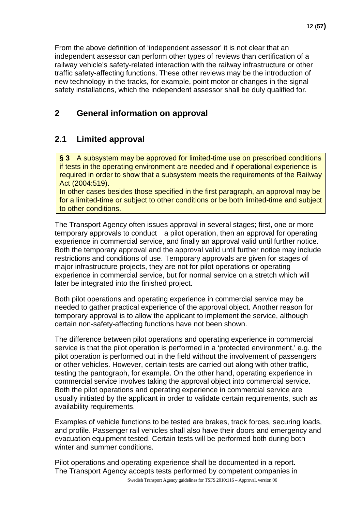From the above definition of 'independent assessor' it is not clear that an independent assessor can perform other types of reviews than certification of a railway vehicle's safety-related interaction with the railway infrastructure or other traffic safety-affecting functions. These other reviews may be the introduction of new technology in the tracks, for example, point motor or changes in the signal safety installations, which the independent assessor shall be duly qualified for.

### <span id="page-11-0"></span>**2 General information on approval**

### <span id="page-11-1"></span>**2.1 Limited approval**

**§ 3** A subsystem may be approved for limited-time use on prescribed conditions if tests in the operating environment are needed and if operational experience is required in order to show that a subsystem meets the requirements of the Railway Act (2004:519).

In other cases besides those specified in the first paragraph, an approval may be for a limited-time or subject to other conditions or be both limited-time and subject to other conditions.

The Transport Agency often issues approval in several stages; first, one or more temporary approvals to conduct a pilot operation, then an approval for operating experience in commercial service, and finally an approval valid until further notice. Both the temporary approval and the approval valid until further notice may include restrictions and conditions of use. Temporary approvals are given for stages of major infrastructure projects, they are not for pilot operations or operating experience in commercial service, but for normal service on a stretch which will later be integrated into the finished project.

Both pilot operations and operating experience in commercial service may be needed to gather practical experience of the approval object. Another reason for temporary approval is to allow the applicant to implement the service, although certain non-safety-affecting functions have not been shown.

The difference between pilot operations and operating experience in commercial service is that the pilot operation is performed in a 'protected environment,' e.g. the pilot operation is performed out in the field without the involvement of passengers or other vehicles. However, certain tests are carried out along with other traffic, testing the pantograph, for example. On the other hand, operating experience in commercial service involves taking the approval object into commercial service. Both the pilot operations and operating experience in commercial service are usually initiated by the applicant in order to validate certain requirements, such as availability requirements.

Examples of vehicle functions to be tested are brakes, track forces, securing loads, and profile. Passenger rail vehicles shall also have their doors and emergency and evacuation equipment tested. Certain tests will be performed both during both winter and summer conditions.

Pilot operations and operating experience shall be documented in a report. The Transport Agency accepts tests performed by competent companies in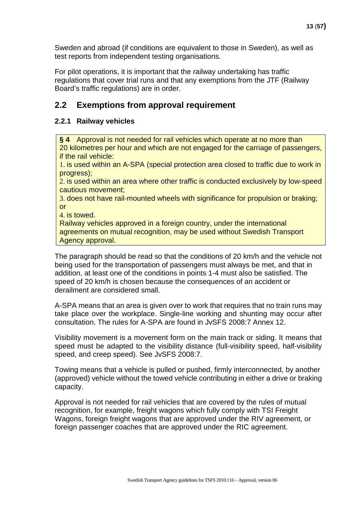Sweden and abroad (if conditions are equivalent to those in Sweden), as well as test reports from independent testing organisations.

For pilot operations, it is important that the railway undertaking has traffic regulations that cover trial runs and that any exemptions from the JTF (Railway Board's traffic regulations) are in order.

### <span id="page-12-0"></span>**2.2 Exemptions from approval requirement**

#### <span id="page-12-1"></span>**2.2.1 Railway vehicles**

**§ 4** Approval is not needed for rail vehicles which operate at no more than 20 kilometres per hour and which are not engaged for the carriage of passengers, if the rail vehicle:

1. is used within an A-SPA (special protection area closed to traffic due to work in progress);

2. is used within an area where other traffic is conducted exclusively by low-speed cautious movement;

3. does not have rail-mounted wheels with significance for propulsion or braking; or

4. is towed.

Railway vehicles approved in a foreign country, under the international agreements on mutual recognition, may be used without Swedish Transport Agency approval.

The paragraph should be read so that the conditions of 20 km/h and the vehicle not being used for the transportation of passengers must always be met, and that in addition, at least one of the conditions in points 1-4 must also be satisfied. The speed of 20 km/h is chosen because the consequences of an accident or derailment are considered small.

A-SPA means that an area is given over to work that requires that no train runs may take place over the workplace. Single-line working and shunting may occur after consultation. The rules for A-SPA are found in JvSFS 2008:7 Annex 12.

Visibility movement is a movement form on the main track or siding. It means that speed must be adapted to the visibility distance (full-visibility speed, half-visibility speed, and creep speed). See JvSFS 2008:7.

Towing means that a vehicle is pulled or pushed, firmly interconnected, by another (approved) vehicle without the towed vehicle contributing in either a drive or braking capacity.

Approval is not needed for rail vehicles that are covered by the rules of mutual recognition, for example, freight wagons which fully comply with TSI Freight Wagons, foreign freight wagons that are approved under the RIV agreement, or foreign passenger coaches that are approved under the RIC agreement.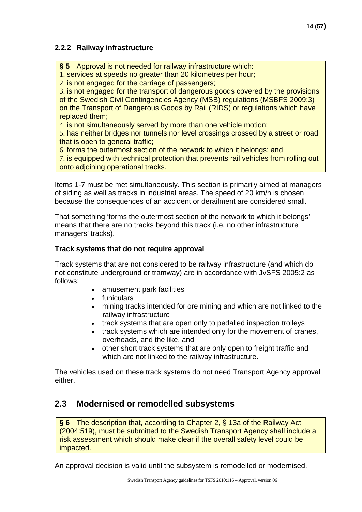### <span id="page-13-0"></span>**2.2.2 Railway infrastructure**

**§ 5** Approval is not needed for railway infrastructure which:

1. services at speeds no greater than 20 kilometres per hour;

2. is not engaged for the carriage of passengers;

3. is not engaged for the transport of dangerous goods covered by the provisions of the Swedish Civil Contingencies Agency (MSB) regulations (MSBFS 2009:3) on the Transport of Dangerous Goods by Rail (RIDS) or regulations which have replaced them;

4. is not simultaneously served by more than one vehicle motion;

5. has neither bridges nor tunnels nor level crossings crossed by a street or road that is open to general traffic;

6. forms the outermost section of the network to which it belongs; and

7. is equipped with technical protection that prevents rail vehicles from rolling out onto adjoining operational tracks.

Items 1-7 must be met simultaneously. This section is primarily aimed at managers of siding as well as tracks in industrial areas. The speed of 20 km/h is chosen because the consequences of an accident or derailment are considered small.

That something 'forms the outermost section of the network to which it belongs' means that there are no tracks beyond this track (i.e. no other infrastructure managers' tracks).

### **Track systems that do not require approval**

Track systems that are not considered to be railway infrastructure (and which do not constitute underground or tramway) are in accordance with JvSFS 2005:2 as follows:

- amusement park facilities
- funiculars
- mining tracks intended for ore mining and which are not linked to the railway infrastructure
- track systems that are open only to pedalled inspection trolleys
- track systems which are intended only for the movement of cranes, overheads, and the like, and
- other short track systems that are only open to freight traffic and which are not linked to the railway infrastructure.

The vehicles used on these track systems do not need Transport Agency approval either.

### <span id="page-13-1"></span>**2.3 Modernised or remodelled subsystems**

**§ 6** The description that, according to Chapter 2, § 13a of the Railway Act (2004:519), must be submitted to the Swedish Transport Agency shall include a risk assessment which should make clear if the overall safety level could be impacted.

An approval decision is valid until the subsystem is remodelled or modernised.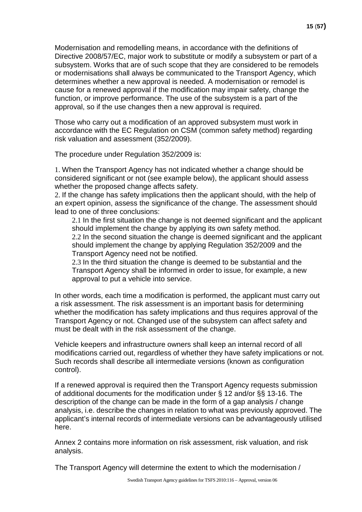Modernisation and remodelling means, in accordance with the definitions of Directive 2008/57/EC, major work to substitute or modify a subsystem or part of a subsystem. Works that are of such scope that they are considered to be remodels or modernisations shall always be communicated to the Transport Agency, which determines whether a new approval is needed. A modernisation or remodel is cause for a renewed approval if the modification may impair safety, change the function, or improve performance. The use of the subsystem is a part of the approval, so if the use changes then a new approval is required.

Those who carry out a modification of an approved subsystem must work in accordance with the EC Regulation on CSM (common safety method) regarding risk valuation and assessment (352/2009).

The procedure under Regulation 352/2009 is:

1. When the Transport Agency has not indicated whether a change should be considered significant or not (see example below), the applicant should assess whether the proposed change affects safety.

2. If the change has safety implications then the applicant should, with the help of an expert opinion, assess the significance of the change. The assessment should lead to one of three conclusions:

2.1 In the first situation the change is not deemed significant and the applicant should implement the change by applying its own safety method. 2.2 In the second situation the change is deemed significant and the applicant should implement the change by applying Regulation 352/2009 and the Transport Agency need not be notified.

2.3 In the third situation the change is deemed to be substantial and the Transport Agency shall be informed in order to issue, for example, a new approval to put a vehicle into service.

In other words, each time a modification is performed, the applicant must carry out a risk assessment. The risk assessment is an important basis for determining whether the modification has safety implications and thus requires approval of the Transport Agency or not. Changed use of the subsystem can affect safety and must be dealt with in the risk assessment of the change.

Vehicle keepers and infrastructure owners shall keep an internal record of all modifications carried out, regardless of whether they have safety implications or not. Such records shall describe all intermediate versions (known as configuration control).

If a renewed approval is required then the Transport Agency requests submission of additional documents for the modification under § 12 and/or §§ 13-16. The description of the change can be made in the form of a gap analysis / change analysis, i.e. describe the changes in relation to what was previously approved. The applicant's internal records of intermediate versions can be advantageously utilised here.

Annex 2 contains more information on risk assessment, risk valuation, and risk analysis.

The Transport Agency will determine the extent to which the modernisation /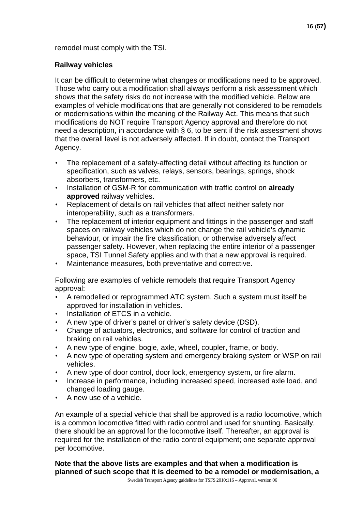#### **Railway vehicles**

It can be difficult to determine what changes or modifications need to be approved. Those who carry out a modification shall always perform a risk assessment which shows that the safety risks do not increase with the modified vehicle. Below are examples of vehicle modifications that are generally not considered to be remodels or modernisations within the meaning of the Railway Act. This means that such modifications do NOT require Transport Agency approval and therefore do not need a description, in accordance with § 6, to be sent if the risk assessment shows that the overall level is not adversely affected. If in doubt, contact the Transport Agency.

- The replacement of a safety-affecting detail without affecting its function or specification, such as valves, relays, sensors, bearings, springs, shock absorbers, transformers, etc.
- Installation of GSM-R for communication with traffic control on **already approved** railway vehicles.
- Replacement of details on rail vehicles that affect neither safety nor interoperability, such as a transformers.
- The replacement of interior equipment and fittings in the passenger and staff spaces on railway vehicles which do not change the rail vehicle's dynamic behaviour, or impair the fire classification, or otherwise adversely affect passenger safety. However, when replacing the entire interior of a passenger space, TSI Tunnel Safety applies and with that a new approval is required.
- Maintenance measures, both preventative and corrective.

Following are examples of vehicle remodels that require Transport Agency approval:

- A remodelled or reprogrammed ATC system. Such a system must itself be approved for installation in vehicles.
- Installation of ETCS in a vehicle.
- A new type of driver's panel or driver's safety device (DSD).
- Change of actuators, electronics, and software for control of traction and braking on rail vehicles.
- A new type of engine, bogie, axle, wheel, coupler, frame, or body.
- A new type of operating system and emergency braking system or WSP on rail vehicles.
- A new type of door control, door lock, emergency system, or fire alarm.
- Increase in performance, including increased speed, increased axle load, and changed loading gauge.
- A new use of a vehicle.

An example of a special vehicle that shall be approved is a radio locomotive, which is a common locomotive fitted with radio control and used for shunting. Basically, there should be an approval for the locomotive itself. Thereafter, an approval is required for the installation of the radio control equipment; one separate approval per locomotive.

**Note that the above lists are examples and that when a modification is planned of such scope that it is deemed to be a remodel or modernisation, a**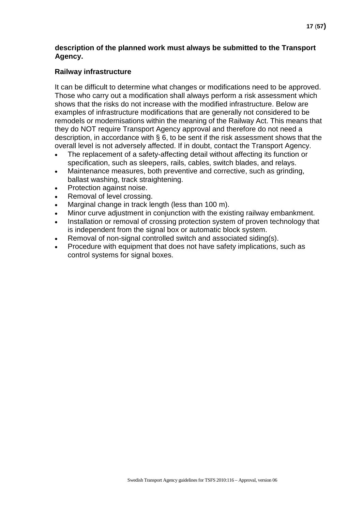#### **description of the planned work must always be submitted to the Transport Agency.**

#### **Railway infrastructure**

It can be difficult to determine what changes or modifications need to be approved. Those who carry out a modification shall always perform a risk assessment which shows that the risks do not increase with the modified infrastructure. Below are examples of infrastructure modifications that are generally not considered to be remodels or modernisations within the meaning of the Railway Act. This means that they do NOT require Transport Agency approval and therefore do not need a description, in accordance with § 6, to be sent if the risk assessment shows that the overall level is not adversely affected. If in doubt, contact the Transport Agency.

- The replacement of a safety-affecting detail without affecting its function or specification, such as sleepers, rails, cables, switch blades, and relays.
- Maintenance measures, both preventive and corrective, such as grinding, ballast washing, track straightening.
- Protection against noise.
- Removal of level crossing.
- Marginal change in track length (less than 100 m).
- Minor curve adjustment in conjunction with the existing railway embankment.
- Installation or removal of crossing protection system of proven technology that is independent from the signal box or automatic block system.
- Removal of non-signal controlled switch and associated siding(s).
- Procedure with equipment that does not have safety implications, such as control systems for signal boxes.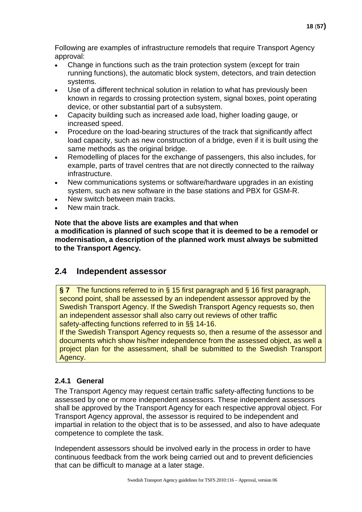Following are examples of infrastructure remodels that require Transport Agency approval:

- Change in functions such as the train protection system (except for train running functions), the automatic block system, detectors, and train detection systems.
- Use of a different technical solution in relation to what has previously been known in regards to crossing protection system, signal boxes, point operating device, or other substantial part of a subsystem.
- Capacity building such as increased axle load, higher loading gauge, or increased speed.
- Procedure on the load-bearing structures of the track that significantly affect load capacity, such as new construction of a bridge, even if it is built using the same methods as the original bridge.
- Remodelling of places for the exchange of passengers, this also includes, for example, parts of travel centres that are not directly connected to the railway infrastructure.
- New communications systems or software/hardware upgrades in an existing system, such as new software in the base stations and PBX for GSM-R.
- New switch between main tracks.
- New main track.

#### **Note that the above lists are examples and that when**

**a modification is planned of such scope that it is deemed to be a remodel or modernisation, a description of the planned work must always be submitted to the Transport Agency.**

### <span id="page-17-0"></span>**2.4 Independent assessor**

**§ 7** The functions referred to in § 15 first paragraph and § 16 first paragraph, second point, shall be assessed by an independent assessor approved by the Swedish Transport Agency. If the Swedish Transport Agency requests so, then an independent assessor shall also carry out reviews of other traffic safety-affecting functions referred to in §§ 14-16.

If the Swedish Transport Agency requests so, then a resume of the assessor and documents which show his/her independence from the assessed object, as well a project plan for the assessment, shall be submitted to the Swedish Transport Agency.

### <span id="page-17-1"></span>**2.4.1 General**

The Transport Agency may request certain traffic safety-affecting functions to be assessed by one or more independent assessors. These independent assessors shall be approved by the Transport Agency for each respective approval object. For Transport Agency approval, the assessor is required to be independent and impartial in relation to the object that is to be assessed, and also to have adequate competence to complete the task.

Independent assessors should be involved early in the process in order to have continuous feedback from the work being carried out and to prevent deficiencies that can be difficult to manage at a later stage.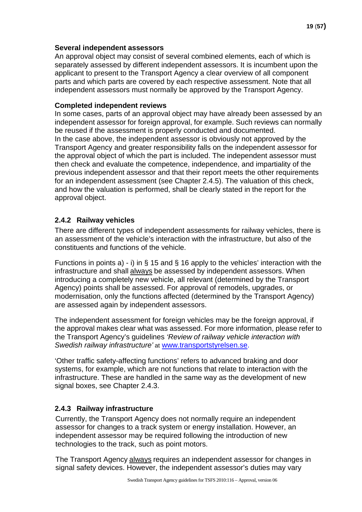#### **Several independent assessors**

An approval object may consist of several combined elements, each of which is separately assessed by different independent assessors. It is incumbent upon the applicant to present to the Transport Agency a clear overview of all component parts and which parts are covered by each respective assessment. Note that all independent assessors must normally be approved by the Transport Agency.

#### **Completed independent reviews**

In some cases, parts of an approval object may have already been assessed by an independent assessor for foreign approval, for example. Such reviews can normally be reused if the assessment is properly conducted and documented. In the case above, the independent assessor is obviously not approved by the Transport Agency and greater responsibility falls on the independent assessor for the approval object of which the part is included. The independent assessor must then check and evaluate the competence, independence, and impartiality of the previous independent assessor and that their report meets the other requirements for an independent assessment (see Chapter [2.4.5\).](#page-20-0) The valuation of this check, and how the valuation is performed, shall be clearly stated in the report for the approval object.

#### <span id="page-18-0"></span>**2.4.2 Railway vehicles**

There are different types of independent assessments for railway vehicles, there is an assessment of the vehicle's interaction with the infrastructure, but also of the constituents and functions of the vehicle.

Functions in points a) - i) in § 15 and § 16 apply to the vehicles' interaction with the infrastructure and shall always be assessed by independent assessors. When introducing a completely new vehicle, all relevant (determined by the Transport Agency) points shall be assessed. For approval of remodels, upgrades, or modernisation, only the functions affected (determined by the Transport Agency) are assessed again by independent assessors.

The independent assessment for foreign vehicles may be the foreign approval, if the approval makes clear what was assessed. For more information, please refer to the Transport Agency's guidelines *'Review of railway vehicle interaction with Swedish railway infrastructure'* at [www.transportstyrelsen.se.](http://www.transportstyrelsen.se/)

'Other traffic safety-affecting functions' refers to advanced braking and door systems, for example, which are not functions that relate to interaction with the infrastructure. These are handled in the same way as the development of new signal boxes, see Chapter 2.4.3.

### <span id="page-18-1"></span>**2.4.3 Railway infrastructure**

Currently, the Transport Agency does not normally require an independent assessor for changes to a track system or energy installation. However, an independent assessor may be required following the introduction of new technologies to the track, such as point motors.

The Transport Agency always requires an independent assessor for changes in signal safety devices. However, the independent assessor's duties may vary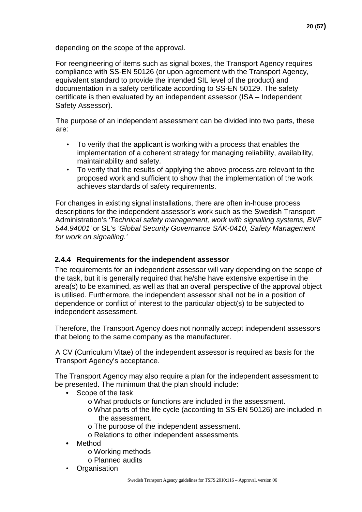depending on the scope of the approval.

For reengineering of items such as signal boxes, the Transport Agency requires compliance with SS-EN 50126 (or upon agreement with the Transport Agency, equivalent standard to provide the intended SIL level of the product) and documentation in a safety certificate according to SS-EN 50129. The safety certificate is then evaluated by an independent assessor (ISA – Independent Safety Assessor).

The purpose of an independent assessment can be divided into two parts, these are:

- To verify that the applicant is working with a process that enables the implementation of a coherent strategy for managing reliability, availability, maintainability and safety.
- To verify that the results of applying the above process are relevant to the proposed work and sufficient to show that the implementation of the work achieves standards of safety requirements.

For changes in existing signal installations, there are often in-house process descriptions for the independent assessor's work such as the Swedish Transport Administration's *'Technical safety management, work with signalling systems, BVF 544.94001'* or SL's *'Global Security Governance SÄK-0410, Safety Management for work on signalling.'*

### <span id="page-19-0"></span>**2.4.4 Requirements for the independent assessor**

The requirements for an independent assessor will vary depending on the scope of the task, but it is generally required that he/she have extensive expertise in the area(s) to be examined, as well as that an overall perspective of the approval object is utilised. Furthermore, the independent assessor shall not be in a position of dependence or conflict of interest to the particular object(s) to be subjected to independent assessment.

Therefore, the Transport Agency does not normally accept independent assessors that belong to the same company as the manufacturer.

A CV (Curriculum Vitae) of the independent assessor is required as basis for the Transport Agency's acceptance.

The Transport Agency may also require a plan for the independent assessment to be presented. The minimum that the plan should include:

- **•** Scope of the task
	- o What products or functions are included in the assessment.
	- o What parts of the life cycle (according to SS-EN 50126) are included in the assessment.
	- o The purpose of the independent assessment.
	- o Relations to other independent assessments.
- **•** Method
	- o Working methods
	- o Planned audits
- **Organisation**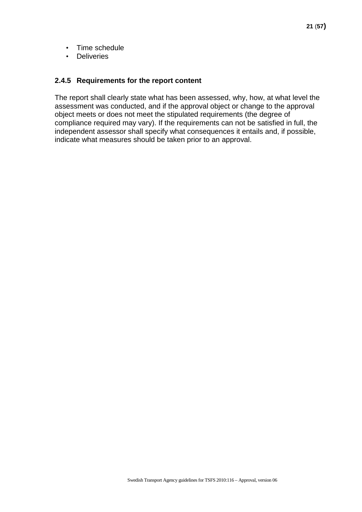- Time schedule
- Deliveries

#### <span id="page-20-0"></span>**2.4.5 Requirements for the report content**

The report shall clearly state what has been assessed, why, how, at what level the assessment was conducted, and if the approval object or change to the approval object meets or does not meet the stipulated requirements (the degree of compliance required may vary). If the requirements can not be satisfied in full, the independent assessor shall specify what consequences it entails and, if possible, indicate what measures should be taken prior to an approval.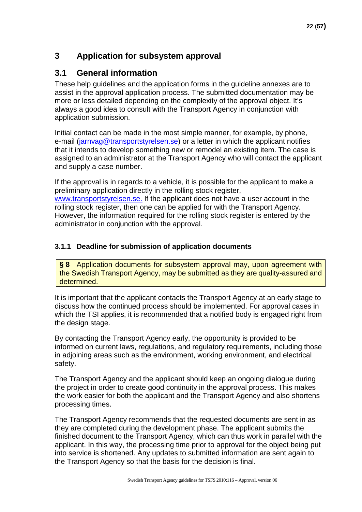### <span id="page-21-0"></span>**3 Application for subsystem approval**

### <span id="page-21-1"></span>**3.1 General information**

These help guidelines and the application forms in the guideline annexes are to assist in the approval application process. The submitted documentation may be more or less detailed depending on the complexity of the approval object. It's always a good idea to consult with the Transport Agency in conjunction with application submission.

Initial contact can be made in the most simple manner, for example, by phone, e-mail (jarnvag@transportstyrelsen.se) or a letter in which the applicant notifies that it intends to develop something new or remodel an existing item. The case is assigned to an administrator at the Transport Agency who will contact the applicant and supply a case number.

If the approval is in regards to a vehicle, it is possible for [the applicant to make a](http://www.transportstyrelsen.se/)  preliminary application directly in the rolling stock register, [www.transportstyrelsen.se.](http://www.transportstyrelsen.se/) If the applicant does not have a user account in the rolling stock register, then one can be applied for with the Transport Agency. However, the information required for the rolling stock register is entered by the administrator in conjunction with the approval.

### <span id="page-21-2"></span>**3.1.1 Deadline for submission of application documents**

**§ 8** Application documents for subsystem approval may, upon agreement with the Swedish Transport Agency, may be submitted as they are quality-assured and determined.

It is important that the applicant contacts the Transport Agency at an early stage to discuss how the continued process should be implemented. For approval cases in which the TSI applies, it is recommended that a notified body is engaged right from the design stage.

By contacting the Transport Agency early, the opportunity is provided to be informed on current laws, regulations, and regulatory requirements, including those in adjoining areas such as the environment, working environment, and electrical safety.

The Transport Agency and the applicant should keep an ongoing dialogue during the project in order to create good continuity in the approval process. This makes the work easier for both the applicant and the Transport Agency and also shortens processing times.

The Transport Agency recommends that the requested documents are sent in as they are completed during the development phase. The applicant submits the finished document to the Transport Agency, which can thus work in parallel with the applicant. In this way, the processing time prior to approval for the object being put into service is shortened. Any updates to submitted information are sent again to the Transport Agency so that the basis for the decision is final.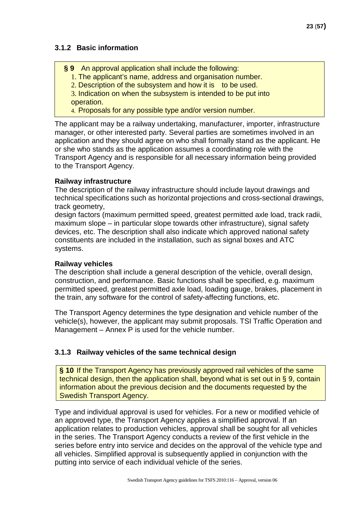### <span id="page-22-0"></span>**3.1.2 Basic information**

- **§ 9** An approval application shall include the following:
	- 1. The applicant's name, address and organisation number.
	- 2. Description of the subsystem and how it is to be used.

3. Indication on when the subsystem is intended to be put into operation.

4. Proposals for any possible type and/or version number.

The applicant may be a railway undertaking, manufacturer, importer, infrastructure manager, or other interested party. Several parties are sometimes involved in an application and they should agree on who shall formally stand as the applicant. He or she who stands as the application assumes a coordinating role with the Transport Agency and is responsible for all necessary information being provided to the Transport Agency.

#### **Railway infrastructure**

The description of the railway infrastructure should include layout drawings and technical specifications such as horizontal projections and cross-sectional drawings, track geometry,

design factors (maximum permitted speed, greatest permitted axle load, track radii, maximum slope – in particular slope towards other infrastructure), signal safety devices, etc. The description shall also indicate which approved national safety constituents are included in the installation, such as signal boxes and ATC systems.

### **Railway vehicles**

The description shall include a general description of the vehicle, overall design, construction, and performance. Basic functions shall be specified, e.g. maximum permitted speed, greatest permitted axle load, loading gauge, brakes, placement in the train, any software for the control of safety-affecting functions, etc.

The Transport Agency determines the type designation and vehicle number of the vehicle(s), however, the applicant may submit proposals. TSI Traffic Operation and Management – Annex P is used for the vehicle number.

### <span id="page-22-1"></span>**3.1.3 Railway vehicles of the same technical design**

**§ 10** If the Transport Agency has previously approved rail vehicles of the same technical design, then the application shall, beyond what is set out in § 9, contain information about the previous decision and the documents requested by the Swedish Transport Agency.

Type and individual approval is used for vehicles. For a new or modified vehicle of an approved type, the Transport Agency applies a simplified approval. If an application relates to production vehicles, approval shall be sought for all vehicles in the series. The Transport Agency conducts a review of the first vehicle in the series before entry into service and decides on the approval of the vehicle type and all vehicles. Simplified approval is subsequently applied in conjunction with the putting into service of each individual vehicle of the series.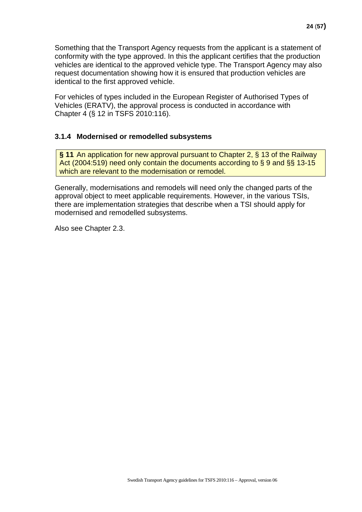Something that the Transport Agency requests from the applicant is a statement of conformity with the type approved. In this the applicant certifies that the production vehicles are identical to the approved vehicle type. The Transport Agency may also request documentation showing how it is ensured that production vehicles are identical to the first approved vehicle.

For vehicles of types included in the European Register of Authorised Types of Vehicles (ERATV), the approval process is conducted in accordance with Chapter 4 (§ 12 in TSFS 2010:116).

#### <span id="page-23-0"></span>**3.1.4 Modernised or remodelled subsystems**

**§ 11** An application for new approval pursuant to Chapter 2, § 13 of the Railway Act (2004:519) need only contain the documents according to § 9 and §§ 13-15 which are relevant to the modernisation or remodel.

Generally, modernisations and remodels will need only the changed parts of the approval object to meet applicable requirements. However, in the various TSIs, there are implementation strategies that describe when a TSI should apply for modernised and remodelled subsystems.

Also see Chapter 2.3.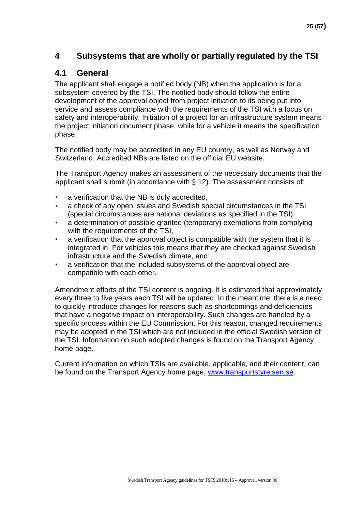### <span id="page-24-0"></span>**4 Subsystems that are wholly or partially regulated by the TSI**

### <span id="page-24-1"></span>**4.1 General**

The applicant shall engage a notified body (NB) when the application is for a subsystem covered by the TSI. The notified body should follow the entire development of the approval object from project initiation to its being put into service and assess compliance with the requirements of the TSI with a focus on safety and interoperability. Initiation of a project for an infrastructure system means the project initiation document phase, while for a vehicle it means the specification phase.

The notified body may be accredited in any EU country, as well as Norway and Switzerland. Accredited NBs are listed on the official EU website.

The Transport Agency makes an assessment of the necessary documents that the applicant shall submit (in accordance with § 12). The assessment consists of:

- a verification that the NB is duly accredited,
- a check of any open issues and Swedish special circumstances in the TSI (special circumstances are national deviations as specified in the TSI),
- a determination of possible granted (temporary) exemptions from complying with the requirements of the TSI,
- a verification that the approval object is compatible with the system that it is integrated in. For vehicles this means that they are checked against Swedish infrastructure and the Swedish climate, and
- a verification that the included subsystems of the approval object are compatible with each other.

Amendment efforts of the TSI content is ongoing. It is estimated that approximately every three to five years each TSI will be updated. In the meantime, there is a need to quickly introduce changes for reasons such as shortcomings and deficiencies that have a negative impact on interoperability. Such changes are handled by a specific process within the EU Commission. For this reason, changed requirements may be adopted in the TSI which are not included in the official Swedish version of the TSI. Information on such adopted changes is found on the Transport Agency home page.

Current information on which TSIs are available, applicable, and their content, can be found on the Transport Agency home page, [www.transportstyrelsen.se.](http://www.transportstyrelsen.se/)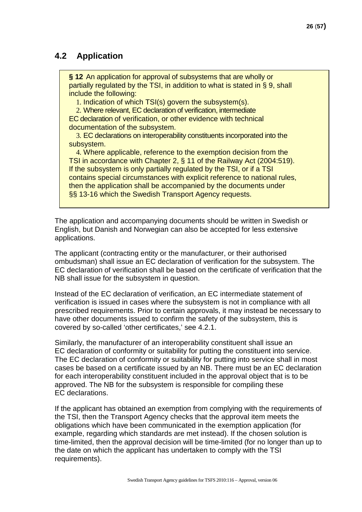### <span id="page-25-0"></span>**4.2 Application**

**§ 12** An application for approval of subsystems that are wholly or partially regulated by the TSI, in addition to what is stated in § 9, shall include the following:

1. Indication of which TSI(s) govern the subsystem(s).

2. Where relevant, EC declaration of verification, intermediate EC declaration of verification, or other evidence with technical documentation of the subsystem.

3. EC declarations on interoperability constituents incorporated into the subsystem.

4. Where applicable, reference to the exemption decision from the TSI in accordance with Chapter 2, § 11 of the Railway Act (2004:519). If the subsystem is only partially regulated by the TSI, or if a TSI contains special circumstances with explicit reference to national rules, then the application shall be accompanied by the documents under §§ 13-16 which the Swedish Transport Agency requests.

The application and accompanying documents should be written in Swedish or English, but Danish and Norwegian can also be accepted for less extensive applications.

The applicant (contracting entity or the manufacturer, or their authorised ombudsman) shall issue an EC declaration of verification for the subsystem. The EC declaration of verification shall be based on the certificate of verification that the NB shall issue for the subsystem in question.

Instead of the EC declaration of verification, an EC intermediate statement of verification is issued in cases where the subsystem is not in compliance with all prescribed requirements. Prior to certain approvals, it may instead be necessary to have other documents issued to confirm the safety of the subsystem, this is covered by so-called 'other certificates,' see 4.2.1.

Similarly, the manufacturer of an interoperability constituent shall issue an EC declaration of conformity or suitability for putting the constituent into service. The EC declaration of conformity or suitability for putting into service shall in most cases be based on a certificate issued by an NB. There must be an EC declaration for each interoperability constituent included in the approval object that is to be approved. The NB for the subsystem is responsible for compiling these EC declarations.

If the applicant has obtained an exemption from complying with the requirements of the TSI, then the Transport Agency checks that the approval item meets the obligations which have been communicated in the exemption application (for example, regarding which standards are met instead). If the chosen solution is time-limited, then the approval decision will be time-limited (for no longer than up to the date on which the applicant has undertaken to comply with the TSI requirements).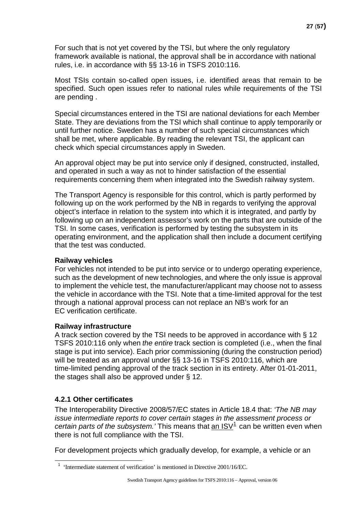For such that is not yet covered by the TSI, but where the only regulatory framework available is national, the approval shall be in accordance with national rules, i.e. in accordance with §§ 13-16 in TSFS 2010:116.

Most TSIs contain so-called open issues, i.e. identified areas that remain to be specified. Such open issues refer to national rules while requirements of the TSI are pending .

Special circumstances entered in the TSI are national deviations for each Member State. They are deviations from the TSI which shall continue to apply temporarily or until further notice. Sweden has a number of such special circumstances which shall be met, where applicable. By reading the relevant TSI, the applicant can check which special circumstances apply in Sweden.

An approval object may be put into service only if designed, constructed, installed, and operated in such a way as not to hinder satisfaction of the essential requirements concerning them when integrated into the Swedish railway system.

The Transport Agency is responsible for this control, which is partly performed by following up on the work performed by the NB in regards to verifying the approval object's interface in relation to the system into which it is integrated, and partly by following up on an independent assessor's work on the parts that are outside of the TSI. In some cases, verification is performed by testing the subsystem in its operating environment, and the application shall then include a document certifying that the test was conducted.

#### **Railway vehicles**

For vehicles not intended to be put into service or to undergo operating experience, such as the development of new technologies, and where the only issue is approval to implement the vehicle test, the manufacturer/applicant may choose not to assess the vehicle in accordance with the TSI. Note that a time-limited approval for the test through a national approval process can not replace an NB's work for an EC verification certificate.

#### **Railway infrastructure**

A track section covered by the TSI needs to be approved in accordance with § 12 TSFS 2010:116 only when *the entire* track section is completed (i.e., when the final stage is put into service). Each prior commissioning (during the construction period) will be treated as an approval under §§ 13-16 in TSFS 2010:116, which are time-limited pending approval of the track section in its entirety. After 01-01-2011, the stages shall also be approved under § 12.

#### <span id="page-26-0"></span>**4.2.1 Other certificates**

The Interoperability Directive 2008/57/EC states in Article 18.4 that: *'The NB may issue intermediate reports to cover certain stages in the assessment process or certain parts of the subsystem.'* This means that an ISV<sup>[1](#page-26-1)</sup> can be written even when there is not full compliance with the TSI.

<span id="page-26-1"></span>For development projects which gradually develop, for example, a vehicle or an

<sup>&</sup>lt;sup>1</sup> 'Intermediate statement of verification' is mentioned in Directive 2001/16/EC.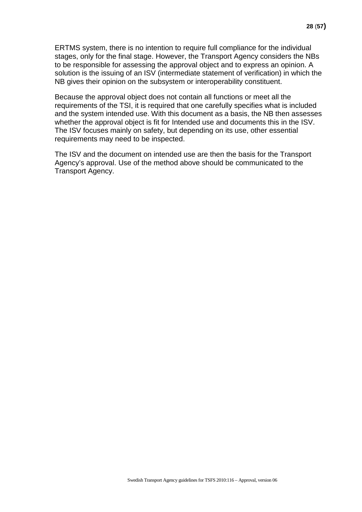ERTMS system, there is no intention to require full compliance for the individual stages, only for the final stage. However, the Transport Agency considers the NBs to be responsible for assessing the approval object and to express an opinion. A solution is the issuing of an ISV (intermediate statement of verification) in which the NB gives their opinion on the subsystem or interoperability constituent.

Because the approval object does not contain all functions or meet all the requirements of the TSI, it is required that one carefully specifies what is included and the system intended use. With this document as a basis, the NB then assesses whether the approval object is fit for Intended use and documents this in the ISV. The ISV focuses mainly on safety, but depending on its use, other essential requirements may need to be inspected.

The ISV and the document on intended use are then the basis for the Transport Agency's approval. Use of the method above should be communicated to the Transport Agency.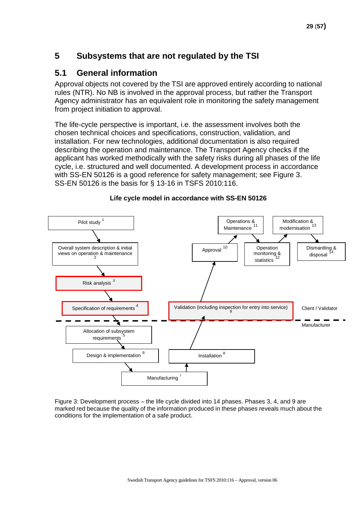### <span id="page-28-0"></span>**5 Subsystems that are not regulated by the TSI**

### <span id="page-28-1"></span>**5.1 General information**

Approval objects not covered by the TSI are approved entirely according to national rules (NTR). No NB is involved in the approval process, but rather the Transport Agency administrator has an equivalent role in monitoring the safety management from project initiation to approval.

The life-cycle perspective is important, i.e. the assessment involves both the chosen technical choices and specifications, construction, validation, and installation. For new technologies, additional documentation is also required describing the operation and maintenance. The Transport Agency checks if the applicant has worked methodically with the safety risks during all phases of the life cycle, i.e. structured and well documented. A development process in accordance with SS-EN 50126 is a good reference for safety management; see Figure 3. SS-EN 50126 is the basis for § 13-16 in TSFS 2010:116.



**Life cycle model in accordance with SS-EN 50126**

Figure 3: Development process – the life cycle divided into 14 phases. Phases 3, 4, and 9 are marked red because the quality of the information produced in these phases reveals much about the conditions for the implementation of a safe product.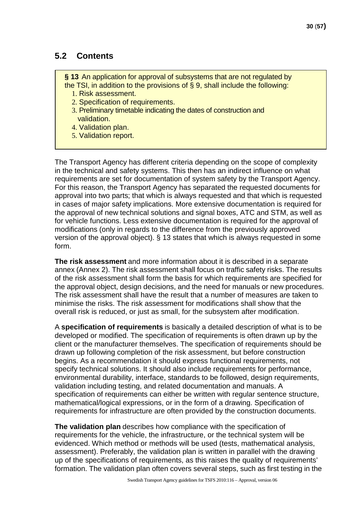### <span id="page-29-0"></span>**5.2 Contents**

**§ 13** An application for approval of subsystems that are not regulated by the TSI, in addition to the provisions of § 9, shall include the following:

- 1. Risk assessment.
- 2. Specification of requirements.
- 3. Preliminary timetable indicating the dates of construction and validation.
- 4. Validation plan.
- 5. Validation report.

The Transport Agency has different criteria depending on the scope of complexity in the technical and safety systems. This then has an indirect influence on what requirements are set for documentation of system safety by the Transport Agency. For this reason, the Transport Agency has separated the requested documents for approval into two parts; that which is always requested and that which is requested in cases of major safety implications. More extensive documentation is required for the approval of new technical solutions and signal boxes, ATC and STM, as well as for vehicle functions. Less extensive documentation is required for the approval of modifications (only in regards to the difference from the previously approved version of the approval object). § 13 states that which is always requested in some form.

**The risk assessment** and more information about it is described in a separate annex (Annex 2). The risk assessment shall focus on traffic safety risks. The results of the risk assessment shall form the basis for which requirements are specified for the approval object, design decisions, and the need for manuals or new procedures. The risk assessment shall have the result that a number of measures are taken to minimise the risks. The risk assessment for modifications shall show that the overall risk is reduced, or just as small, for the subsystem after modification.

A **specification of requirements** is basically a detailed description of what is to be developed or modified. The specification of requirements is often drawn up by the client or the manufacturer themselves. The specification of requirements should be drawn up following completion of the risk assessment, but before construction begins. As a recommendation it should express functional requirements, not specify technical solutions. It should also include requirements for performance, environmental durability, interface, standards to be followed, design requirements, validation including testing, and related documentation and manuals. A specification of requirements can either be written with regular sentence structure, mathematical/logical expressions, or in the form of a drawing. Specification of requirements for infrastructure are often provided by the construction documents.

**The validation plan** describes how compliance with the specification of requirements for the vehicle, the infrastructure, or the technical system will be evidenced. Which method or methods will be used (tests, mathematical analysis, assessment). Preferably, the validation plan is written in parallel with the drawing up of the specifications of requirements, as this raises the quality of requirements' formation. The validation plan often covers several steps, such as first testing in the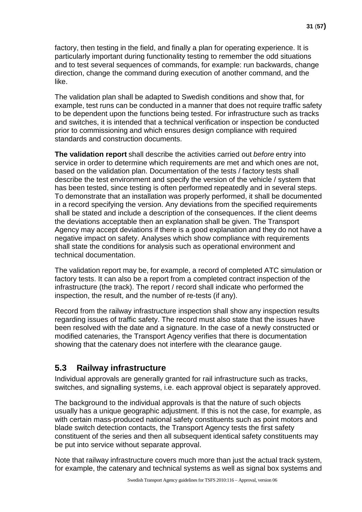factory, then testing in the field, and finally a plan for operating experience. It is particularly important during functionality testing to remember the odd situations and to test several sequences of commands, for example: run backwards, change direction, change the command during execution of another command, and the like.

The validation plan shall be adapted to Swedish conditions and show that, for example, test runs can be conducted in a manner that does not require traffic safety to be dependent upon the functions being tested. For infrastructure such as tracks and switches, it is intended that a technical verification or inspection be conducted prior to commissioning and which ensures design compliance with required standards and construction documents.

**The validation report** shall describe the activities carried out *before* entry into service in order to determine which requirements are met and which ones are not, based on the validation plan. Documentation of the tests / factory tests shall describe the test environment and specify the version of the vehicle / system that has been tested, since testing is often performed repeatedly and in several steps. To demonstrate that an installation was properly performed, it shall be documented in a record specifying the version. Any deviations from the specified requirements shall be stated and include a description of the consequences. If the client deems the deviations acceptable then an explanation shall be given. The Transport Agency may accept deviations if there is a good explanation and they do not have a negative impact on safety. Analyses which show compliance with requirements shall state the conditions for analysis such as operational environment and technical documentation.

The validation report may be, for example, a record of completed ATC simulation or factory tests. It can also be a report from a completed contract inspection of the infrastructure (the track). The report / record shall indicate who performed the inspection, the result, and the number of re-tests (if any).

Record from the railway infrastructure inspection shall show any inspection results regarding issues of traffic safety. The record must also state that the issues have been resolved with the date and a signature. In the case of a newly constructed or modified catenaries, the Transport Agency verifies that there is documentation showing that the catenary does not interfere with the clearance gauge.

### <span id="page-30-0"></span>**5.3 Railway infrastructure**

Individual approvals are generally granted for rail infrastructure such as tracks, switches, and signalling systems, i.e. each approval object is separately approved.

The background to the individual approvals is that the nature of such objects usually has a unique geographic adjustment. If this is not the case, for example, as with certain mass-produced national safety constituents such as point motors and blade switch detection contacts, the Transport Agency tests the first safety constituent of the series and then all subsequent identical safety constituents may be put into service without separate approval.

Note that railway infrastructure covers much more than just the actual track system, for example, the catenary and technical systems as well as signal box systems and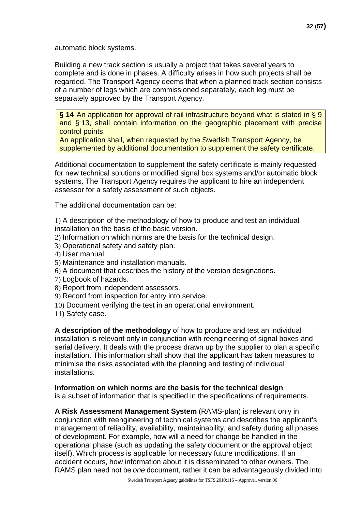automatic block systems.

Building a new track section is usually a project that takes several years to complete and is done in phases. A difficulty arises in how such projects shall be regarded. The Transport Agency deems that when a planned track section consists of a number of legs which are commissioned separately, each leg must be separately approved by the Transport Agency.

**§ 14** An application for approval of rail infrastructure beyond what is stated in § 9 and § 13, shall contain information on the geographic placement with precise control points.

An application shall, when requested by the Swedish Transport Agency, be supplemented by additional documentation to supplement the safety certificate.

Additional documentation to supplement the safety certificate is mainly requested for new technical solutions or modified signal box systems and/or automatic block systems. The Transport Agency requires the applicant to hire an independent assessor for a safety assessment of such objects.

The additional documentation can be:

1) A description of the methodology of how to produce and test an individual installation on the basis of the basic version.

- 2) Information on which norms are the basis for the technical design.
- 3) Operational safety and safety plan.
- 4) User manual.
- 5) Maintenance and installation manuals.
- 6) A document that describes the history of the version designations.
- 7) Logbook of hazards.
- 8) Report from independent assessors.
- 9) Record from inspection for entry into service.
- 10) Document verifying the test in an operational environment.
- 11) Safety case.

**A description of the methodology** of how to produce and test an individual installation is relevant only in conjunction with reengineering of signal boxes and serial delivery. It deals with the process drawn up by the supplier to plan a specific installation. This information shall show that the applicant has taken measures to minimise the risks associated with the planning and testing of individual installations.

#### **Information on which norms are the basis for the technical design**

is a subset of information that is specified in the specifications of requirements.

**A Risk Assessment Management System** (RAMS-plan) is relevant only in conjunction with reengineering of technical systems and describes the applicant's management of reliability, availability, maintainability, and safety during all phases of development. For example, how will a need for change be handled in the operational phase (such as updating the safety document or the approval object itself). Which process is applicable for necessary future modifications. If an accident occurs, how information about it is disseminated to other owners. The RAMS plan need not be *one* document, rather it can be advantageously divided into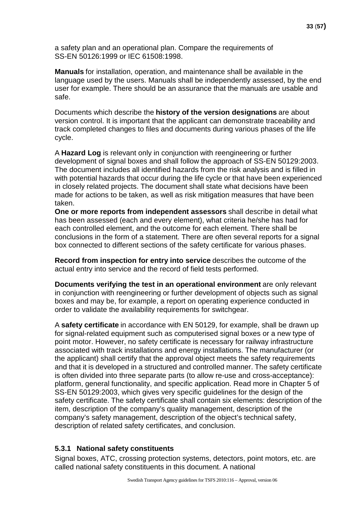a safety plan and an operational plan. Compare the requirements of SS-EN 50126:1999 or IEC 61508:1998.

**Manuals** for installation, operation, and maintenance shall be available in the language used by the users. Manuals shall be independently assessed, by the end user for example. There should be an assurance that the manuals are usable and safe.

Documents which describe the **history of the version designations** are about version control. It is important that the applicant can demonstrate traceability and track completed changes to files and documents during various phases of the life cycle.

A **Hazard Log** is relevant only in conjunction with reengineering or further development of signal boxes and shall follow the approach of SS-EN 50129:2003. The document includes all identified hazards from the risk analysis and is filled in with potential hazards that occur during the life cycle or that have been experienced in closely related projects. The document shall state what decisions have been made for actions to be taken, as well as risk mitigation measures that have been taken.

**One or more reports from independent assessors** shall describe in detail what has been assessed (each and every element), what criteria he/she has had for each controlled element, and the outcome for each element. There shall be conclusions in the form of a statement. There are often several reports for a signal box connected to different sections of the safety certificate for various phases.

**Record from inspection for entry into service** describes the outcome of the actual entry into service and the record of field tests performed.

**Documents verifying the test in an operational environment** are only relevant in conjunction with reengineering or further development of objects such as signal boxes and may be, for example, a report on operating experience conducted in order to validate the availability requirements for switchgear.

A **safety certificate** in accordance with EN 50129, for example, shall be drawn up for signal-related equipment such as computerised signal boxes or a new type of point motor. However, no safety certificate is necessary for railway infrastructure associated with track installations and energy installations. The manufacturer (or the applicant) shall certify that the approval object meets the safety requirements and that it is developed in a structured and controlled manner. The safety certificate is often divided into three separate parts (to allow re-use and cross-acceptance): platform, general functionality, and specific application. Read more in Chapter 5 of SS-EN 50129:2003, which gives very specific guidelines for the design of the safety certificate. The safety certificate shall contain six elements: description of the item, description of the company's quality management, description of the company's safety management, description of the object's technical safety, description of related safety certificates, and conclusion.

### <span id="page-32-0"></span>**5.3.1 National safety constituents**

Signal boxes, ATC, crossing protection systems, detectors, point motors, etc. are called national safety constituents in this document. A national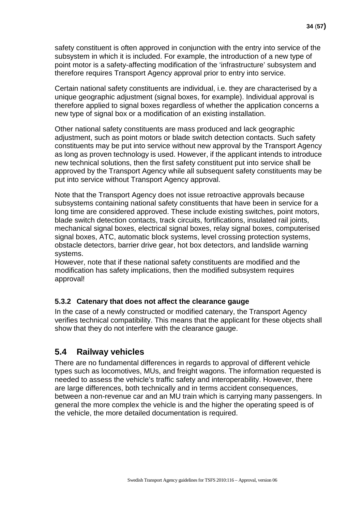safety constituent is often approved in conjunction with the entry into service of the subsystem in which it is included. For example, the introduction of a new type of point motor is a safety-affecting modification of the 'infrastructure' subsystem and therefore requires Transport Agency approval prior to entry into service.

Certain national safety constituents are individual, i.e. they are characterised by a unique geographic adjustment (signal boxes, for example). Individual approval is therefore applied to signal boxes regardless of whether the application concerns a new type of signal box or a modification of an existing installation.

Other national safety constituents are mass produced and lack geographic adjustment, such as point motors or blade switch detection contacts. Such safety constituents may be put into service without new approval by the Transport Agency as long as proven technology is used. However, if the applicant intends to introduce new technical solutions, then the first safety constituent put into service shall be approved by the Transport Agency while all subsequent safety constituents may be put into service without Transport Agency approval.

Note that the Transport Agency does not issue retroactive approvals because subsystems containing national safety constituents that have been in service for a long time are considered approved. These include existing switches, point motors, blade switch detection contacts, track circuits, fortifications, insulated rail joints, mechanical signal boxes, electrical signal boxes, relay signal boxes, computerised signal boxes, ATC, automatic block systems, level crossing protection systems, obstacle detectors, barrier drive gear, hot box detectors, and landslide warning systems.

However, note that if these national safety constituents are modified and the modification has safety implications, then the modified subsystem requires approval!

### <span id="page-33-0"></span>**5.3.2 Catenary that does not affect the clearance gauge**

In the case of a newly constructed or modified catenary, the Transport Agency verifies technical compatibility. This means that the applicant for these objects shall show that they do not interfere with the clearance gauge.

### <span id="page-33-1"></span>**5.4 Railway vehicles**

There are no fundamental differences in regards to approval of different vehicle types such as locomotives, MUs, and freight wagons. The information requested is needed to assess the vehicle's traffic safety and interoperability. However, there are large differences, both technically and in terms accident consequences, between a non-revenue car and an MU train which is carrying many passengers. In general the more complex the vehicle is and the higher the operating speed is of the vehicle, the more detailed documentation is required.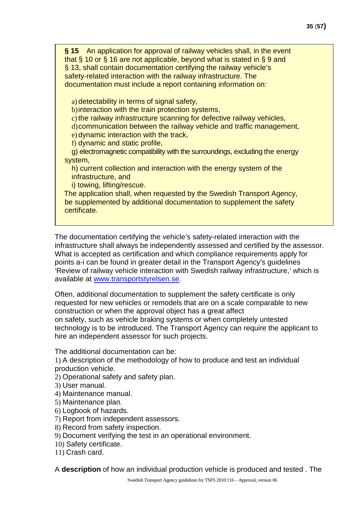**§ 15** An application for approval of railway vehicles shall, in the event that § 10 or § 16 are not applicable, beyond what is stated in § 9 and § 13, shall contain documentation certifying the railway vehicle's safety-related interaction with the railway infrastructure. The documentation must include a report containing information on:

a) detectability in terms of signal safety,

b)interaction with the train protection systems,

 $\overline{c}$ ) the railway infrastructure scanning for defective railway vehicles,

d)communication between the railway vehicle and traffic management,

e) dynamic interaction with the track,

f) dynamic and static profile,

g) electromagnetic compatibility with the surroundings, excluding the energy system,

h) current collection and interaction with the energy system of the infrastructure, and

i) towing, lifting/rescue.

The application shall, when requested by the Swedish Transport Agency, be supplemented by additional documentation to supplement the safety certificate.

The documentation certifying the vehicle's safety-related interaction with the infrastructure shall always be independently assessed and certified by the assessor. What is accepted as certification and which compliance requirements apply for points a-i can be found in greater detail in the Transport Agency's guidelines 'Review of railway vehicle interaction with Swedish railway infrastructure,' which is available at [www.transportstyrelsen.se.](http://www.transportstyrelsen.se/)

Often, additional documentation to supplement the safety certificate is only requested for new vehicles or remodels that are on a scale comparable to new construction or when the approval object has a great affect on safety, such as vehicle braking systems or when completely untested technology is to be introduced. The Transport Agency can require the applicant to hire an independent assessor for such projects.

The additional documentation can be:

1) A description of the methodology of how to produce and test an individual production vehicle.

2) Operational safety and safety plan.

- 3) User manual.
- 4) Maintenance manual.
- 5) Maintenance plan.
- 6) Logbook of hazards.
- 7) Report from independent assessors.
- 8) Record from safety inspection.
- 9) Document verifying the test in an operational environment.
- 10) Safety certificate.
- 11) Crash card.

A **description** of how an individual production vehicle is produced and tested . The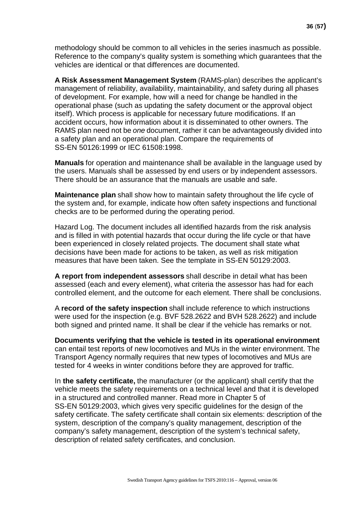methodology should be common to all vehicles in the series inasmuch as possible. Reference to the company's quality system is something which guarantees that the vehicles are identical or that differences are documented.

**A Risk Assessment Management System** (RAMS-plan) describes the applicant's management of reliability, availability, maintainability, and safety during all phases of development. For example, how will a need for change be handled in the operational phase (such as updating the safety document or the approval object itself). Which process is applicable for necessary future modifications. If an accident occurs, how information about it is disseminated to other owners. The RAMS plan need not be *one* document, rather it can be advantageously divided into a safety plan and an operational plan. Compare the requirements of SS-EN 50126:1999 or IEC 61508:1998.

**Manuals** for operation and maintenance shall be available in the language used by the users. Manuals shall be assessed by end users or by independent assessors. There should be an assurance that the manuals are usable and safe.

**Maintenance plan** shall show how to maintain safety throughout the life cycle of the system and, for example, indicate how often safety inspections and functional checks are to be performed during the operating period.

Hazard Log. The document includes all identified hazards from the risk analysis and is filled in with potential hazards that occur during the life cycle or that have been experienced in closely related projects. The document shall state what decisions have been made for actions to be taken, as well as risk mitigation measures that have been taken. See the template in SS-EN 50129:2003.

**A report from independent assessors** shall describe in detail what has been assessed (each and every element), what criteria the assessor has had for each controlled element, and the outcome for each element. There shall be conclusions.

A **record of the safety inspection** shall include reference to which instructions were used for the inspection (e.g. BVF 528.2622 and BVH 528.2622) and include both signed and printed name. It shall be clear if the vehicle has remarks or not.

**Documents verifying that the vehicle is tested in its operational environment** can entail test reports of new locomotives and MUs in the winter environment. The Transport Agency normally requires that new types of locomotives and MUs are tested for 4 weeks in winter conditions before they are approved for traffic.

In **the safety certificate,** the manufacturer (or the applicant) shall certify that the vehicle meets the safety requirements on a technical level and that it is developed in a structured and controlled manner. Read more in Chapter 5 of SS-EN 50129:2003, which gives very specific guidelines for the design of the safety certificate. The safety certificate shall contain six elements: description of the system, description of the company's quality management, description of the company's safety management, description of the system's technical safety, description of related safety certificates, and conclusion.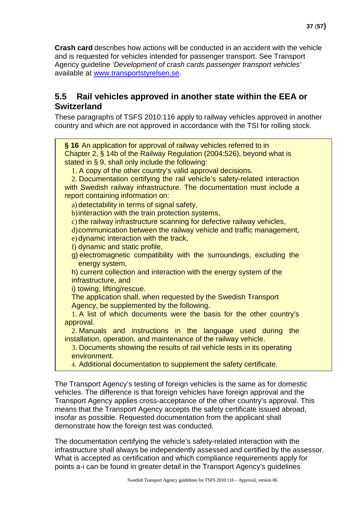**Crash card** describes how actions will be conducted in an accident with the vehicle and is requested for vehicles intended for passenger transport. See Transport Agency guideline *'Development of crash cards passenger transport vehicles'* available at [www.transportstyrelsen.se.](http://www.transportstyrelsen.se/)

### <span id="page-36-0"></span>**5.5 Rail vehicles approved in another state within the EEA or Switzerland**

These paragraphs of TSFS 2010:116 apply to railway vehicles approved in another country and which are not approved in accordance with the TSI for rolling stock.

**§ 16** An application for approval of railway vehicles referred to in Chapter 2, § 14b of the Railway Regulation (2004:526), beyond what is stated in § 9, shall only include the following:

1. A copy of the other country's valid approval decisions.

2. Documentation certifying the rail vehicle's safety-related interaction with Swedish railway infrastructure. The documentation must include a report containing information on:

a) detectability in terms of signal safety,

b)interaction with the train protection systems,

 $\dot{\text{c}}$ ) the railway infrastructure scanning for defective railway vehicles,

d)communication between the railway vehicle and traffic management,

e) dynamic interaction with the track,

f) dynamic and static profile,

g) electromagnetic compatibility with the surroundings, excluding the energy system,

h) current collection and interaction with the energy system of the infrastructure, and

i) towing, lifting/rescue.

The application shall, when requested by the Swedish Transport Agency, be supplemented by the following.

1. A list of which documents were the basis for the other country's approval.

2. Manuals and instructions in the language used during the installation, operation, and maintenance of the railway vehicle.

3. Documents showing the results of rail vehicle tests in its operating environment.

4. Additional documentation to supplement the safety certificate.

The Transport Agency's testing of foreign vehicles is the same as for domestic vehicles. The difference is that foreign vehicles have foreign approval and the Transport Agency applies cross-acceptance of the other country's approval. This means that the Transport Agency accepts the safety certificate issued abroad, insofar as possible. Requested documentation from the applicant shall demonstrate how the foreign test was conducted.

The documentation certifying the vehicle's safety-related interaction with the infrastructure shall always be independently assessed and certified by the assessor. What is accepted as certification and which compliance requirements apply for points a-i can be found in greater detail in the Transport Agency's guidelines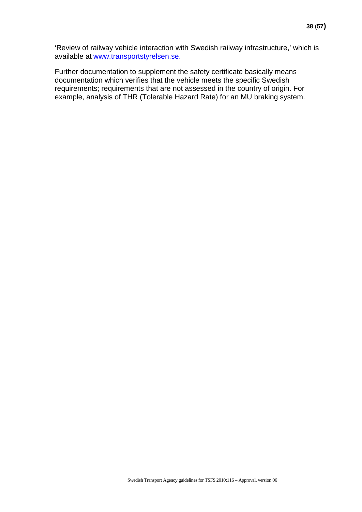'Review of railway vehicle interaction with Swedish railway infrastructure,' which is available at [www.transportstyrelsen.se.](http://www.transportstyrelsen.se/)

Further documentation to supplement the safety certificate basically means documentation which verifies that the vehicle meets the specific Swedish requirements; requirements that are not assessed in the country of origin. For example, analysis of THR (Tolerable Hazard Rate) for an MU braking system.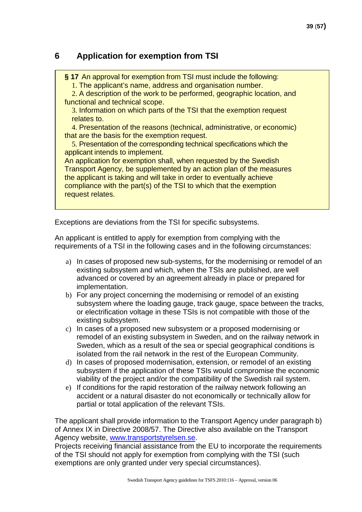### <span id="page-38-0"></span>**6 Application for exemption from TSI**

**§ 17** An approval for exemption from TSI must include the following:

1. The applicant's name, address and organisation number.

2. A description of the work to be performed, geographic location, and functional and technical scope.

3. Information on which parts of the TSI that the exemption request relates to.

4. Presentation of the reasons (technical, administrative, or economic) that are the basis for the exemption request.

5. Presentation of the corresponding technical specifications which the applicant intends to implement.

An application for exemption shall, when requested by the Swedish Transport Agency, be supplemented by an action plan of the measures the applicant is taking and will take in order to eventually achieve compliance with the part(s) of the TSI to which that the exemption request relates.

Exceptions are deviations from the TSI for specific subsystems.

An applicant is entitled to apply for exemption from complying with the requirements of a TSI in the following cases and in the following circumstances:

- a) In cases of proposed new sub-systems, for the modernising or remodel of an existing subsystem and which, when the TSIs are published, are well advanced or covered by an agreement already in place or prepared for implementation.
- b) For any project concerning the modernising or remodel of an existing subsystem where the loading gauge, track gauge, space between the tracks, or electrification voltage in these TSIs is not compatible with those of the existing subsystem.
- c) In cases of a proposed new subsystem or a proposed modernising or remodel of an existing subsystem in Sweden, and on the railway network in Sweden, which as a result of the sea or special geographical conditions is isolated from the rail network in the rest of the European Community.
- d) In cases of proposed modernisation, extension, or remodel of an existing subsystem if the application of these TSIs would compromise the economic viability of the project and/or the compatibility of the Swedish rail system.
- e) If conditions for the rapid restoration of the railway network following an accident or a natural disaster do not economically or technically allow for partial or total application of the relevant TSIs.

The applicant shall provide information to the Transport Agency under paragraph b) of Annex IX in Directive 2008/57. The Directive also available on the Transport Agency website, [www.transportstyrelsen.se.](http://www.transportstyrelsen.se/)

Projects receiving financial assistance from the EU to incorporate the requirements of the TSI should not apply for exemption from complying with the TSI (such exemptions are only granted under very special circumstances).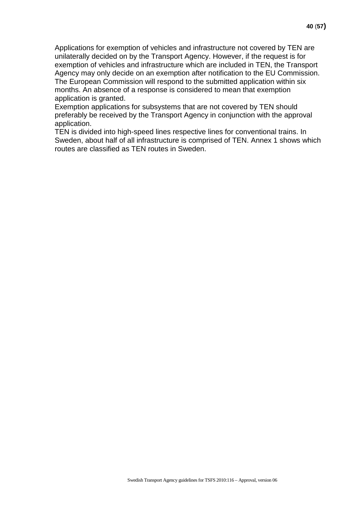Applications for exemption of vehicles and infrastructure not covered by TEN are unilaterally decided on by the Transport Agency. However, if the request is for exemption of vehicles and infrastructure which are included in TEN, the Transport Agency may only decide on an exemption after notification to the EU Commission. The European Commission will respond to the submitted application within six months. An absence of a response is considered to mean that exemption application is granted.

Exemption applications for subsystems that are not covered by TEN should preferably be received by the Transport Agency in conjunction with the approval application.

TEN is divided into high-speed lines respective lines for conventional trains. In Sweden, about half of all infrastructure is comprised of TEN. Annex 1 shows which routes are classified as TEN routes in Sweden.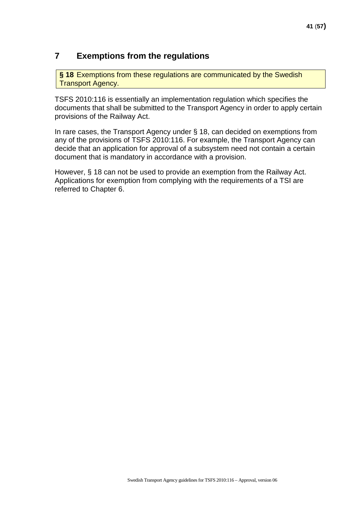### <span id="page-40-0"></span>**7 Exemptions from the regulations**

**§ 18** Exemptions from these regulations are communicated by the Swedish **Transport Agency.** 

TSFS 2010:116 is essentially an implementation regulation which specifies the documents that shall be submitted to the Transport Agency in order to apply certain provisions of the Railway Act.

In rare cases, the Transport Agency under § 18, can decided on exemptions from any of the provisions of TSFS 2010:116. For example, the Transport Agency can decide that an application for approval of a subsystem need not contain a certain document that is mandatory in accordance with a provision.

However, § 18 can not be used to provide an exemption from the Railway Act. Applications for exemption from complying with the requirements of a TSI are referred to Chapter 6.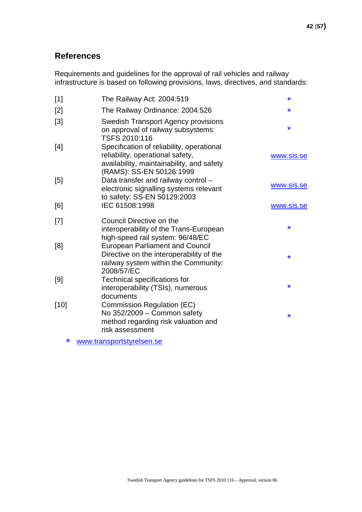### <span id="page-41-0"></span>**References**

Requirements and guidelines for the approval of rail vehicles and railway infrastructure is based on following provisions, laws, directives, and standards:

| The Railway Act: 2004:519                                                                                                                              | $\ast$                                                                                     |
|--------------------------------------------------------------------------------------------------------------------------------------------------------|--------------------------------------------------------------------------------------------|
| The Railway Ordinance: 2004:526                                                                                                                        | $\star$                                                                                    |
| <b>Swedish Transport Agency provisions</b><br>on approval of railway subsystems:<br>TSFS 2010:116                                                      | $\ast$                                                                                     |
| Specification of reliability, operational<br>reliability, operational safety,<br>availability, maintainability, and safety<br>(RAMS): SS-EN 50126:1999 | www.sis.se                                                                                 |
| Data transfer and railway control -<br>electronic signalling systems relevant                                                                          | www.sis.se                                                                                 |
| IEC 61508:1998                                                                                                                                         | www.sis.se                                                                                 |
| Council Directive on the<br>interoperability of the Trans-European                                                                                     | $\ast$                                                                                     |
| <b>European Parliament and Council</b><br>Directive on the interoperability of the<br>railway system within the Community:                             | $\ast$                                                                                     |
| Technical specifications for<br>interoperability (TSIs), numerous                                                                                      | $\ast$                                                                                     |
| Commission Regulation (EC)<br>No 352/2009 - Common safety<br>method regarding risk valuation and<br>risk assessment                                    | $\ast$                                                                                     |
|                                                                                                                                                        | to safety: SS-EN 50129:2003<br>high-speed rail system: 96/48/EC<br>2008/57/EC<br>documents |

∗ [www.transportstyrelsen.se](http://www.jvs.se/)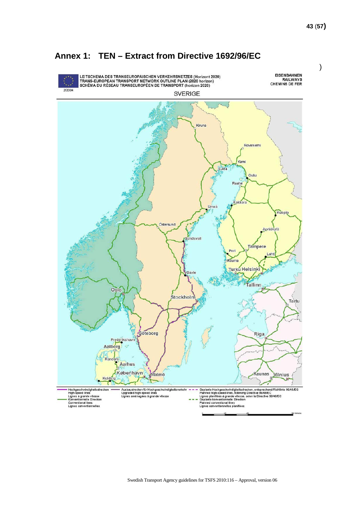)



### <span id="page-42-0"></span>**Annex 1: TEN – Extract from Directive 1692/96/EC**

Swedish Transport Agency guidelines for TSFS 2010:116 – Approval, version 06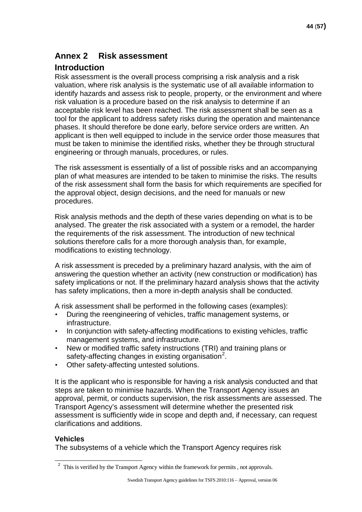### <span id="page-43-0"></span>**Annex 2 Risk assessment**

### **Introduction**

Risk assessment is the overall process comprising a risk analysis and a risk valuation, where risk analysis is the systematic use of all available information to identify hazards and assess risk to people, property, or the environment and where risk valuation is a procedure based on the risk analysis to determine if an acceptable risk level has been reached. The risk assessment shall be seen as a tool for the applicant to address safety risks during the operation and maintenance phases. It should therefore be done early, before service orders are written. An applicant is then well equipped to include in the service order those measures that must be taken to minimise the identified risks, whether they be through structural engineering or through manuals, procedures, or rules.

The risk assessment is essentially of a list of possible risks and an accompanying plan of what measures are intended to be taken to minimise the risks. The results of the risk assessment shall form the basis for which requirements are specified for the approval object, design decisions, and the need for manuals or new procedures.

Risk analysis methods and the depth of these varies depending on what is to be analysed. The greater the risk associated with a system or a remodel, the harder the requirements of the risk assessment. The introduction of new technical solutions therefore calls for a more thorough analysis than, for example, modifications to existing technology.

A risk assessment is preceded by a preliminary hazard analysis, with the aim of answering the question whether an activity (new construction or modification) has safety implications or not. If the preliminary hazard analysis shows that the activity has safety implications, then a more in-depth analysis shall be conducted.

A risk assessment shall be performed in the following cases (examples):

- During the reengineering of vehicles, traffic management systems, or infrastructure.
- In conjunction with safety-affecting modifications to existing vehicles, traffic management systems, and infrastructure.
- New or modified traffic safety instructions (TRI) and training plans or safety-affecting changes in existing organisation<sup>[2](#page-43-1)</sup>.
- Other safety-affecting untested solutions.

It is the applicant who is responsible for having a risk analysis conducted and that steps are taken to minimise hazards. When the Transport Agency issues an approval, permit, or conducts supervision, the risk assessments are assessed. The Transport Agency's assessment will determine whether the presented risk assessment is sufficiently wide in scope and depth and, if necessary, can request clarifications and additions.

### **Vehicles**

The subsystems of a vehicle which the Transport Agency requires risk

<span id="page-43-1"></span><sup>&</sup>lt;sup>2</sup> This is verified by the Transport Agency within the framework for permits , not approvals.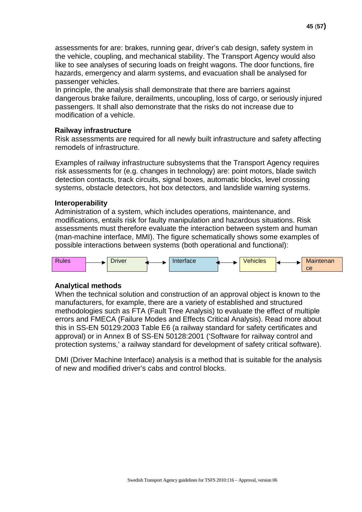assessments for are: brakes, running gear, driver's cab design, safety system in the vehicle, coupling, and mechanical stability. The Transport Agency would also like to see analyses of securing loads on freight wagons. The door functions, fire hazards, emergency and alarm systems, and evacuation shall be analysed for passenger vehicles.

In principle, the analysis shall demonstrate that there are barriers against dangerous brake failure, derailments, uncoupling, loss of cargo, or seriously injured passengers. It shall also demonstrate that the risks do not increase due to modification of a vehicle.

#### **Railway infrastructure**

Risk assessments are required for all newly built infrastructure and safety affecting remodels of infrastructure.

Examples of railway infrastructure subsystems that the Transport Agency requires risk assessments for (e.g. changes in technology) are: point motors, blade switch detection contacts, track circuits, signal boxes, automatic blocks, level crossing systems, obstacle detectors, hot box detectors, and landslide warning systems.

#### **Interoperability**

Administration of a system, which includes operations, maintenance, and modifications, entails risk for faulty manipulation and hazardous situations. Risk assessments must therefore evaluate the interaction between system and human (man-machine interface, MMI). The figure schematically shows some examples of possible interactions between systems (both operational and functional):



#### **Analytical methods**

When the technical solution and construction of an approval object is known to the manufacturers, for example, there are a variety of established and structured methodologies such as FTA (Fault Tree Analysis) to evaluate the effect of multiple errors and FMECA (Failure Modes and Effects Critical Analysis). Read more about this in SS-EN 50129:2003 Table E6 (a railway standard for safety certificates and approval) or in Annex B of SS-EN 50128:2001 ('Software for railway control and protection systems,' a railway standard for development of safety critical software).

DMI (Driver Machine Interface) analysis is a method that is suitable for the analysis of new and modified driver's cabs and control blocks.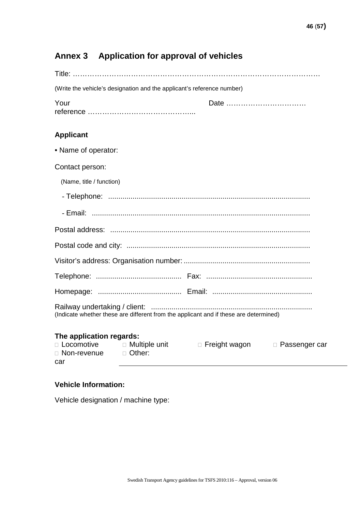### <span id="page-45-0"></span>**Annex 3 Application for approval of vehicles**

| (Write the vehicle's designation and the applicant's reference number)                |  |
|---------------------------------------------------------------------------------------|--|
| Your<br>Date                                                                          |  |
| <b>Applicant</b>                                                                      |  |
| • Name of operator:                                                                   |  |
| Contact person:                                                                       |  |
| (Name, title / function)                                                              |  |
|                                                                                       |  |
|                                                                                       |  |
|                                                                                       |  |
|                                                                                       |  |
|                                                                                       |  |
|                                                                                       |  |
|                                                                                       |  |
| (Indicate whether these are different from the applicant and if these are determined) |  |

### **The application regards:**

| □ Locomotive  | $\Box$ Multiple unit | $\Box$ Freight wagon | □ Passenger car |
|---------------|----------------------|----------------------|-----------------|
| □ Non-revenue | □ Other:             |                      |                 |
| car           |                      |                      |                 |

#### **Vehicle Information:**

Vehicle designation / machine type: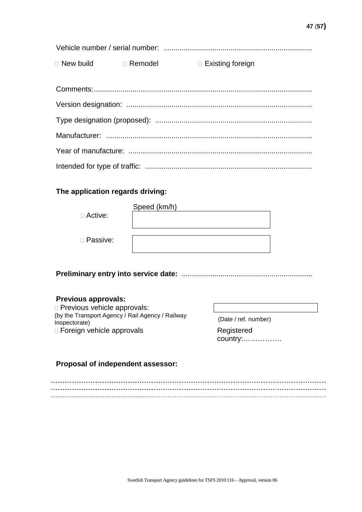| $\Box$ New build | □ Remodel | $\Box$ Existing foreign |
|------------------|-----------|-------------------------|

### **The application regards driving:**

| □ Active:  | Speed (km/h) |
|------------|--------------|
| □ Passive: |              |

**Preliminary entry into service date:** ................................................................

### **Previous approvals:**

 Previous vehicle approvals: (by the Transport Agency / Rail Agency / Railway Inspectorate) □ Foreign vehicle approvals Registered

(Date / ref. number) country:…………….

### **Proposal of independent assessor:**

 $\overline{a}$ . .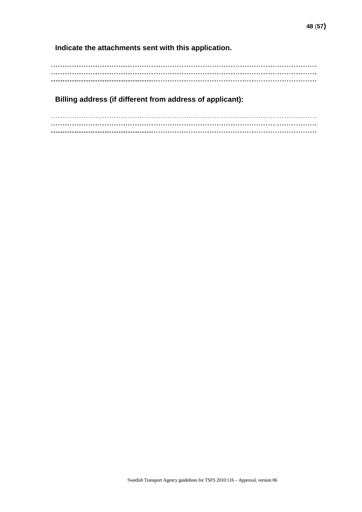**Indicate the attachments sent with this application.**

**Billing address (if different from address of applicant):**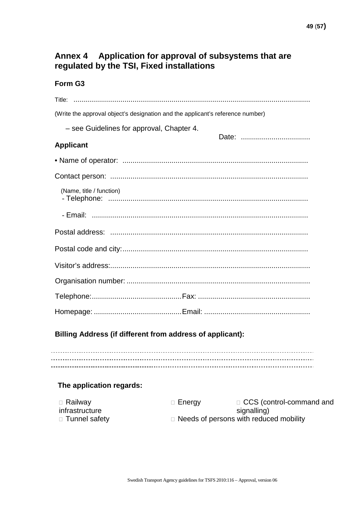### <span id="page-48-0"></span>**Annex 4 Application for approval of subsystems that are regulated by the TSI, Fixed installations**

### **Form G3**

| (Write the approval object's designation and the applicant's reference number) |
|--------------------------------------------------------------------------------|
| - see Guidelines for approval, Chapter 4.                                      |
| Date:<br><b>Applicant</b>                                                      |
|                                                                                |
|                                                                                |
| (Name, title / function)                                                       |
|                                                                                |
|                                                                                |
|                                                                                |
|                                                                                |
|                                                                                |
|                                                                                |
|                                                                                |

### **Billing Address (if different from address of applicant):**

### **The application regards:**

| □ Railway       | $\Box$ Energy | □ CCS (control-command and                    |
|-----------------|---------------|-----------------------------------------------|
| infrastructure  |               | signalling)                                   |
| □ Tunnel safety |               | $\Box$ Needs of persons with reduced mobility |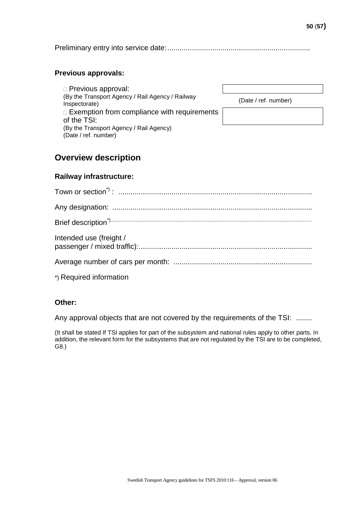Preliminary entry into service date:......................................................................

#### **Previous approvals:**

 Previous approval: (By the Transport Agency / Rail Agency / Railway<br>Inspectorate)  $\Box$  Exemption from compliance with requirements of the TSI: (By the Transport Agency / Rail Agency) (Date / ref. number)

 $(Date / ref. number)$ 

### **Overview description**

#### **Railway infrastructure:**

| Intended use (freight / |
|-------------------------|
|                         |
| *) Required information |

#### **Other:**

Any approval objects that are not covered by the requirements of the TSI: ........

(It shall be stated If TSI applies for part of the subsystem and national rules apply to other parts. In addition, the relevant form for the subsystems that are not regulated by the TSI are to be completed, G8.)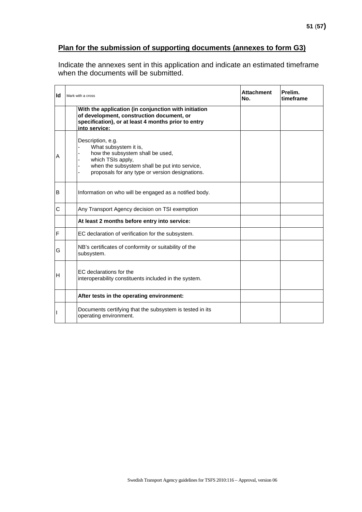### **Plan for the submission of supporting documents (annexes to form G3)**

Indicate the annexes sent in this application and indicate an estimated timeframe when the documents will be submitted.

| Id | Mark with a cross                                                                                                                                                                                       | <b>Attachment</b><br>No. | Prelim.<br>timeframe |
|----|---------------------------------------------------------------------------------------------------------------------------------------------------------------------------------------------------------|--------------------------|----------------------|
|    | With the application (in conjunction with initiation<br>of development, construction document, or<br>specification), or at least 4 months prior to entry<br>into service:                               |                          |                      |
| А  | Description, e.g.<br>What subsystem it is,<br>how the subsystem shall be used,<br>which TSIs apply,<br>when the subsystem shall be put into service,<br>proposals for any type or version designations. |                          |                      |
| B  | Information on who will be engaged as a notified body.                                                                                                                                                  |                          |                      |
| С  | Any Transport Agency decision on TSI exemption                                                                                                                                                          |                          |                      |
|    | At least 2 months before entry into service:                                                                                                                                                            |                          |                      |
| F  | EC declaration of verification for the subsystem.                                                                                                                                                       |                          |                      |
| G  | NB's certificates of conformity or suitability of the<br>subsystem.                                                                                                                                     |                          |                      |
| Н  | EC declarations for the<br>interoperability constituents included in the system.                                                                                                                        |                          |                      |
|    | After tests in the operating environment:                                                                                                                                                               |                          |                      |
|    | Documents certifying that the subsystem is tested in its<br>operating environment.                                                                                                                      |                          |                      |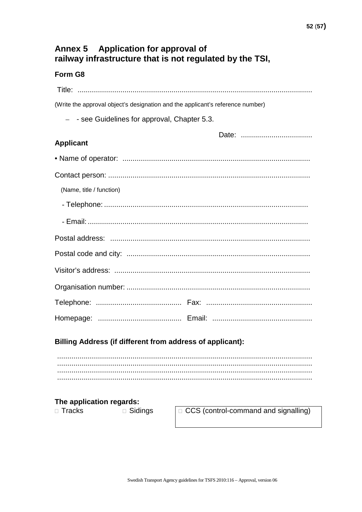### <span id="page-51-0"></span>Annex 5 Application for approval of railway infrastructure that is not regulated by the TSI,

### Form G8

| (Write the approval object's designation and the applicant's reference number) |  |  |  |
|--------------------------------------------------------------------------------|--|--|--|
| $-$ - see Guidelines for approval, Chapter 5.3.                                |  |  |  |
|                                                                                |  |  |  |
| <b>Applicant</b>                                                               |  |  |  |
|                                                                                |  |  |  |
|                                                                                |  |  |  |
| (Name, title / function)                                                       |  |  |  |
|                                                                                |  |  |  |
|                                                                                |  |  |  |
|                                                                                |  |  |  |
|                                                                                |  |  |  |
|                                                                                |  |  |  |
|                                                                                |  |  |  |
|                                                                                |  |  |  |
|                                                                                |  |  |  |

### Billing Address (if different from address of applicant):

### The application regards:

□ Tracks

□ Sidings

□ CCS (control-command and signalling)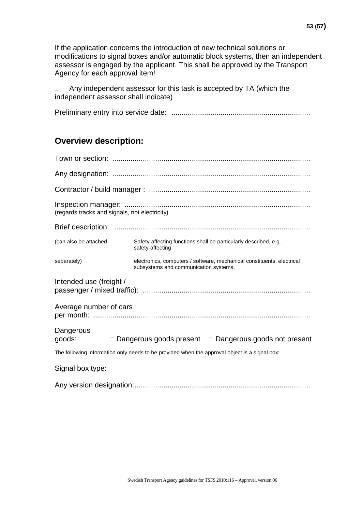If the application concerns the introduction of new technical solutions or modifications to signal boxes and/or automatic block systems, then an independent assessor is engaged by the applicant. This shall be approved by the Transport Agency for each approval item!

□ Any independent assessor for this task is accepted by TA (which the independent assessor shall indicate)

|--|--|

### **Overview description:**

| (regards tracks and signals, not electricity)                                                 |                                                                                                                 |  |  |  |
|-----------------------------------------------------------------------------------------------|-----------------------------------------------------------------------------------------------------------------|--|--|--|
|                                                                                               |                                                                                                                 |  |  |  |
| (can also be attached                                                                         | Safety-affecting functions shall be particularly described, e.g.<br>safety-affecting                            |  |  |  |
| separately)                                                                                   | electronics, computers / software, mechanical constituents, electrical<br>subsystems and communication systems. |  |  |  |
| Intended use (freight /                                                                       |                                                                                                                 |  |  |  |
| Average number of cars                                                                        |                                                                                                                 |  |  |  |
| Dangerous<br>goods:                                                                           | □ Dangerous goods present □ Dangerous goods not present                                                         |  |  |  |
| The following information only needs to be provided when the approval object is a signal box: |                                                                                                                 |  |  |  |
| Signal box type:                                                                              |                                                                                                                 |  |  |  |

Any version designation:......................................................................................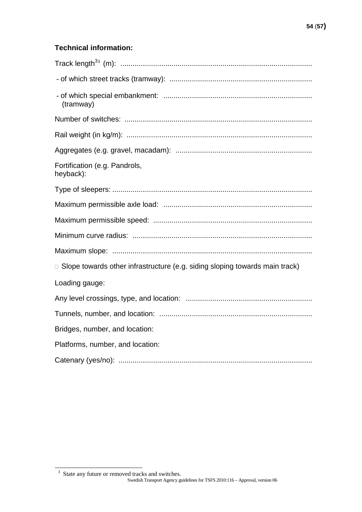### **Technical information:**

| (tramway)                                                                          |
|------------------------------------------------------------------------------------|
|                                                                                    |
|                                                                                    |
|                                                                                    |
| Fortification (e.g. Pandrols,<br>heyback):                                         |
|                                                                                    |
|                                                                                    |
|                                                                                    |
|                                                                                    |
|                                                                                    |
| $\Box$ Slope towards other infrastructure (e.g. siding sloping towards main track) |
| Loading gauge:                                                                     |
|                                                                                    |
|                                                                                    |
| Bridges, number, and location:                                                     |
| Platforms, number, and location:                                                   |
|                                                                                    |

<span id="page-53-0"></span>Swedish Transport Agency guidelines for TSFS 2010:116 – Approval, version 06 <sup>3</sup> State any future or removed tracks and switches.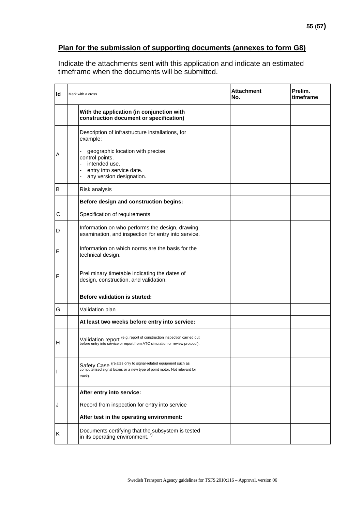Indicate the attachments sent with this application and indicate an estimated timeframe when the documents will be submitted.

| Id           | Mark with a cross |                                                                                                                                                       | <b>Attachment</b><br>No. | Prelim.<br>timeframe |
|--------------|-------------------|-------------------------------------------------------------------------------------------------------------------------------------------------------|--------------------------|----------------------|
|              |                   | With the application (in conjunction with<br>construction document or specification)                                                                  |                          |                      |
|              |                   | Description of infrastructure installations, for<br>example:                                                                                          |                          |                      |
| Α            |                   | geographic location with precise<br>control points.<br>intended use.<br>entry into service date.<br>any version designation.                          |                          |                      |
| B            |                   | Risk analysis                                                                                                                                         |                          |                      |
|              |                   | Before design and construction begins:                                                                                                                |                          |                      |
| С            |                   | Specification of requirements                                                                                                                         |                          |                      |
| D            |                   | Information on who performs the design, drawing<br>examination, and inspection for entry into service.                                                |                          |                      |
| Е            |                   | Information on which norms are the basis for the<br>technical design.                                                                                 |                          |                      |
| F            |                   | Preliminary timetable indicating the dates of<br>design, construction, and validation.                                                                |                          |                      |
|              |                   | <b>Before validation is started:</b>                                                                                                                  |                          |                      |
| G            |                   | Validation plan                                                                                                                                       |                          |                      |
|              |                   | At least two weeks before entry into service:                                                                                                         |                          |                      |
| H            |                   | Validation report (e.g. report of construction inspection carried out<br>before entry into service or report from ATC simulation or review protocol). |                          |                      |
| $\mathbf{I}$ |                   | Safety Case (relates only to signal-related equipment such as<br>computerised signal boxes or a new type of point motor. Not relevant for<br>track).  |                          |                      |
|              |                   | After entry into service:                                                                                                                             |                          |                      |
| J            |                   | Record from inspection for entry into service                                                                                                         |                          |                      |
|              |                   | After test in the operating environment:                                                                                                              |                          |                      |
| Κ            |                   | Documents certifying that the subsystem is tested<br>in its operating environment. <sup>-</sup>                                                       |                          |                      |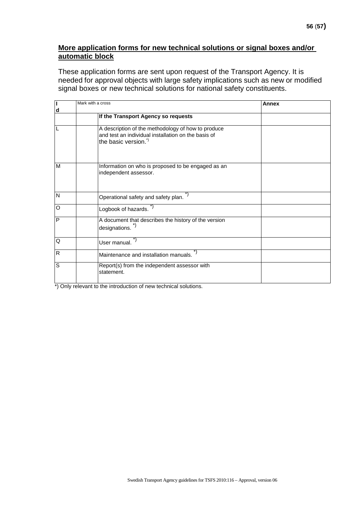#### **More application forms for new technical solutions or signal boxes and/or automatic block**

These application forms are sent upon request of the Transport Agency. It is needed for approval objects with large safety implications such as new or modified signal boxes or new technical solutions for national safety constituents.

| Π              | Mark with a cross                                                                                                                | <b>Annex</b> |  |
|----------------|----------------------------------------------------------------------------------------------------------------------------------|--------------|--|
| d              | If the Transport Agency so requests                                                                                              |              |  |
| L              | A description of the methodology of how to produce<br>and test an individual installation on the basis of<br>the basic version." |              |  |
| M              | Information on who is proposed to be engaged as an<br>independent assessor.                                                      |              |  |
| $\mathsf{N}$   | Operational safety and safety plan.                                                                                              |              |  |
| $\overline{O}$ | Logbook of hazards. <sup>7</sup>                                                                                                 |              |  |
| P              | A document that describes the history of the version<br>designations. <sup>*)</sup>                                              |              |  |
| Q              | User manual.                                                                                                                     |              |  |
| $\mathsf{R}$   | Maintenance and installation manuals.                                                                                            |              |  |
| $\overline{s}$ | Report(s) from the independent assessor with<br>statement.                                                                       |              |  |

\*) Only relevant to the introduction of new technical solutions.